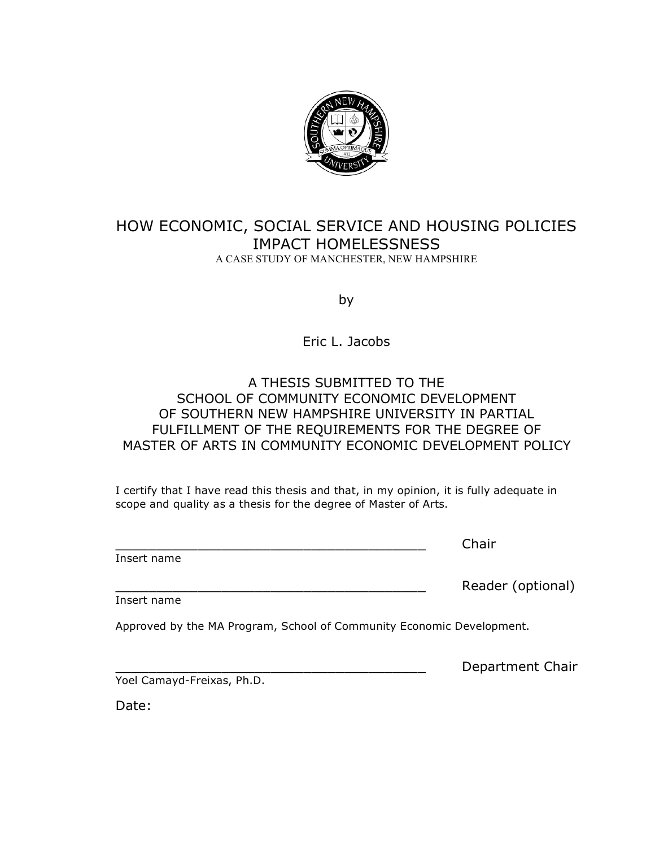

#### HOW ECONOMIC, SOCIAL SERVICE AND HOUSING POLICIES IMPACT HOMELESSNESS A CASE STUDY OF MANCHESTER, NEW HAMPSHIRE

by

Eric L. Jacobs

#### A THESIS SUBMITTED TO THE SCHOOL OF COMMUNITY ECONOMIC DEVELOPMENT OF SOUTHERN NEW HAMPSHIRE UNIVERSITY IN PARTIAL FULFILLMENT OF THE REQUIREMENTS FOR THE DEGREE OF MASTER OF ARTS IN COMMUNITY ECONOMIC DEVELOPMENT POLICY

I certify that I have read this thesis and that, in my opinion, it is fully adequate in scope and quality as a thesis for the degree of Master of Arts.

Insert name

\_\_\_\_\_\_\_\_\_\_\_\_\_\_\_\_\_\_\_\_\_\_\_\_\_\_\_\_\_\_\_\_\_\_\_\_\_\_ Chair

Insert name

Approved by the MA Program, School of Community Economic Development.

Department Chair

Reader (optional)

Yoel Camayd-Freixas, Ph.D.

Date: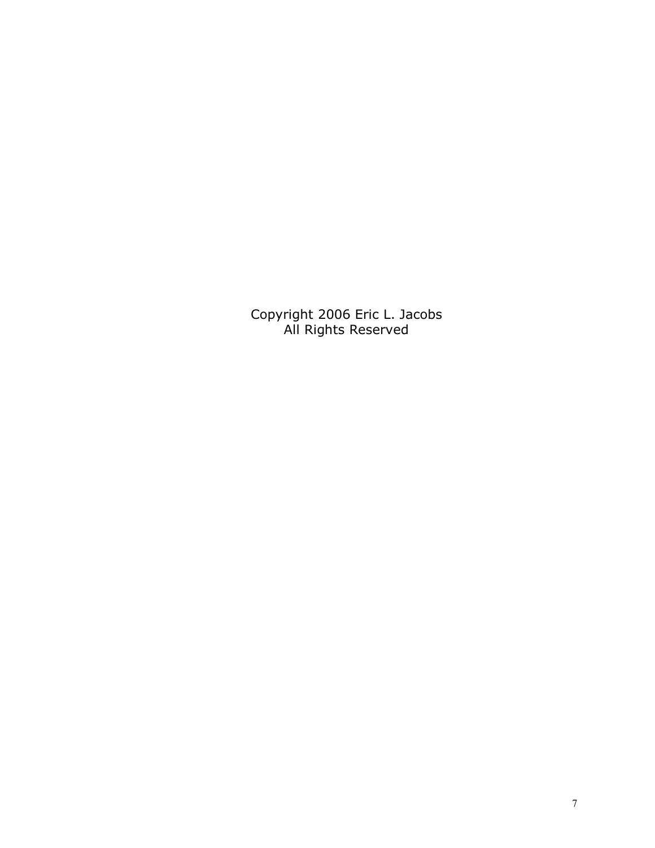Copyright 2006 Eric L. Jacobs All Rights Reserved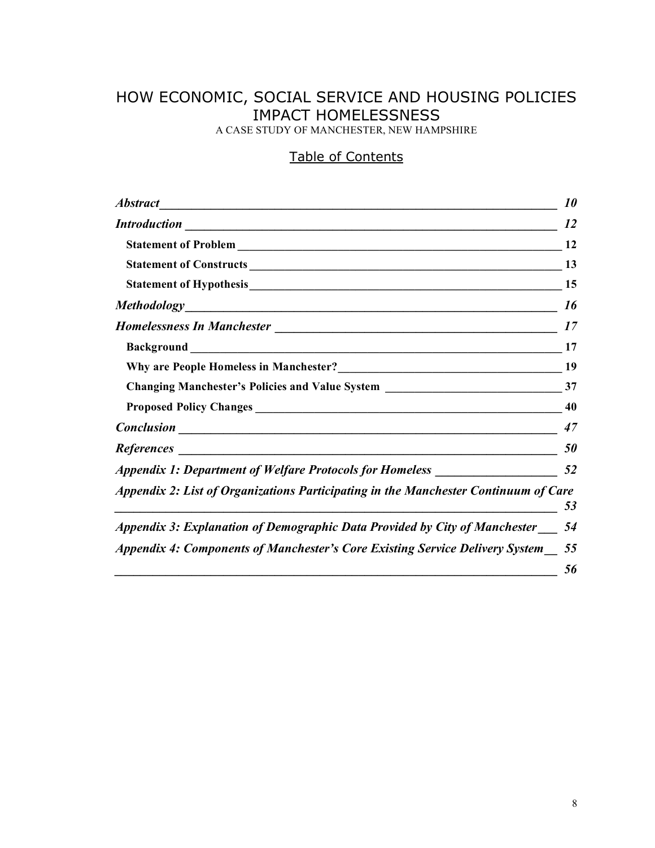## HOW ECONOMIC, SOCIAL SERVICE AND HOUSING POLICIES IMPACT HOMELESSNESS

A CASE STUDY OF MANCHESTER, NEW HAMPSHIRE

#### Table of Contents

|                                                                                     | <i><b>10</b></i> |
|-------------------------------------------------------------------------------------|------------------|
| <b>Introduction</b>                                                                 | 12               |
|                                                                                     |                  |
| Statement of Constructs 13                                                          |                  |
|                                                                                     |                  |
|                                                                                     | 16               |
|                                                                                     | 17               |
|                                                                                     | 17               |
| Why are People Homeless in Manchester?<br>19                                        |                  |
|                                                                                     |                  |
|                                                                                     | 40               |
| <b>Conclusion</b> <u>Conclusion</u>                                                 | 47               |
|                                                                                     | 50               |
| Appendix 1: Department of Welfare Protocols for Homeless _______________________    | 52               |
| Appendix 2: List of Organizations Participating in the Manchester Continuum of Care | 53               |
| Appendix 3: Explanation of Demographic Data Provided by City of Manchester          | 54               |
| Appendix 4: Components of Manchester's Core Existing Service Delivery System        | 55<br>56         |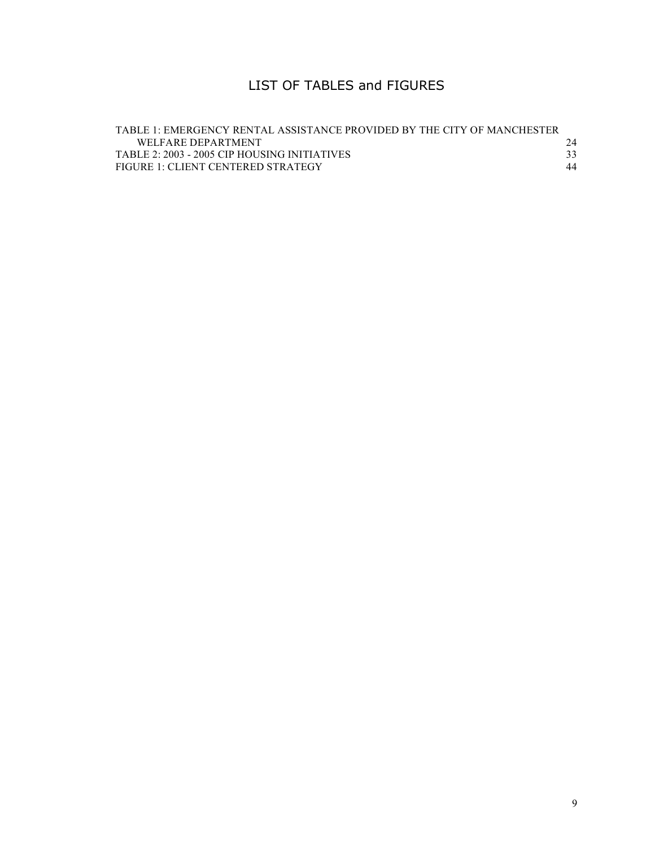### LIST OF TABLES and FIGURES

| TABLE 1: EMERGENCY RENTAL ASSISTANCE PROVIDED BY THE CITY OF MANCHESTER |    |
|-------------------------------------------------------------------------|----|
| WELFARE DEPARTMENT                                                      | 24 |
| TABLE 2: 2003 - 2005 CIP HOUSING INITIATIVES                            |    |
| FIGURE 1: CLIENT CENTERED STRATEGY                                      | 44 |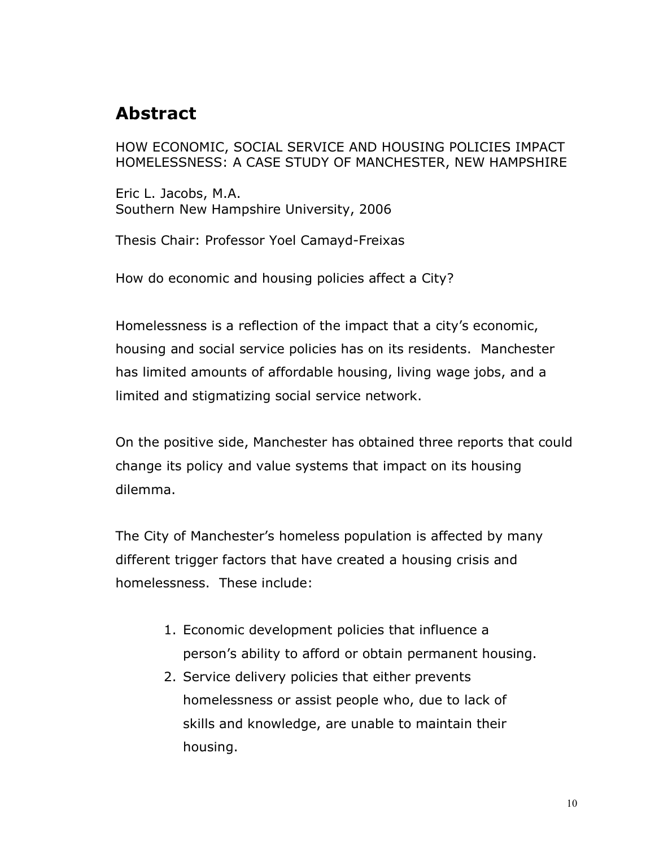## **Abstract**

HOW ECONOMIC, SOCIAL SERVICE AND HOUSING POLICIES IMPACT HOMELESSNESS: A CASE STUDY OF MANCHESTER, NEW HAMPSHIRE

Eric L. Jacobs, M.A. Southern New Hampshire University, 2006

Thesis Chair: Professor Yoel Camayd-Freixas

How do economic and housing policies affect a City?

Homelessness is a reflection of the impact that a city's economic, housing and social service policies has on its residents. Manchester has limited amounts of affordable housing, living wage jobs, and a limited and stigmatizing social service network.

On the positive side, Manchester has obtained three reports that could change its policy and value systems that impact on its housing dilemma.

The City of Manchester's homeless population is affected by many different trigger factors that have created a housing crisis and homelessness. These include:

- 1. Economic development policies that influence a person's ability to afford or obtain permanent housing.
- 2. Service delivery policies that either prevents homelessness or assist people who, due to lack of skills and knowledge, are unable to maintain their housing.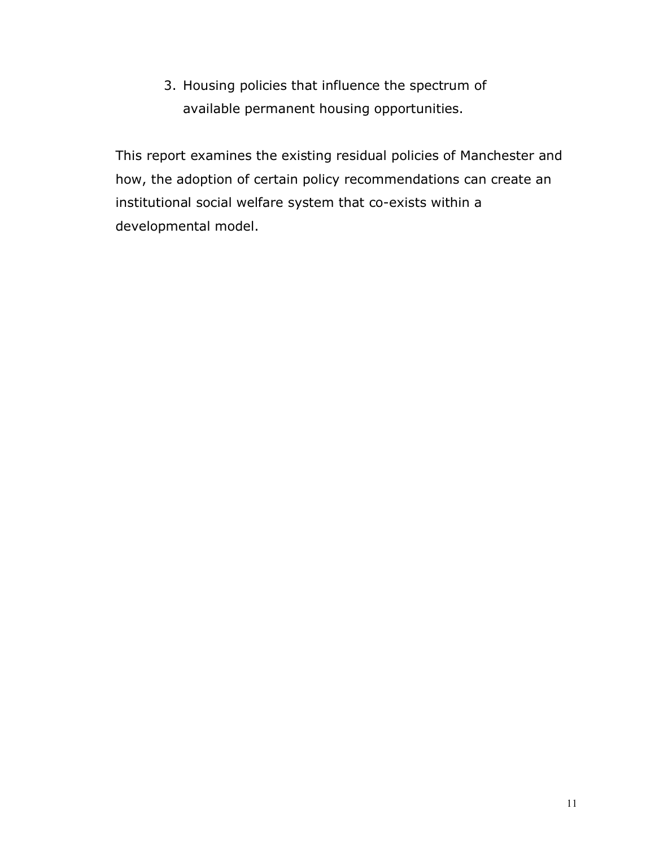3. Housing policies that influence the spectrum of available permanent housing opportunities.

This report examines the existing residual policies of Manchester and how, the adoption of certain policy recommendations can create an institutional social welfare system that co-exists within a developmental model.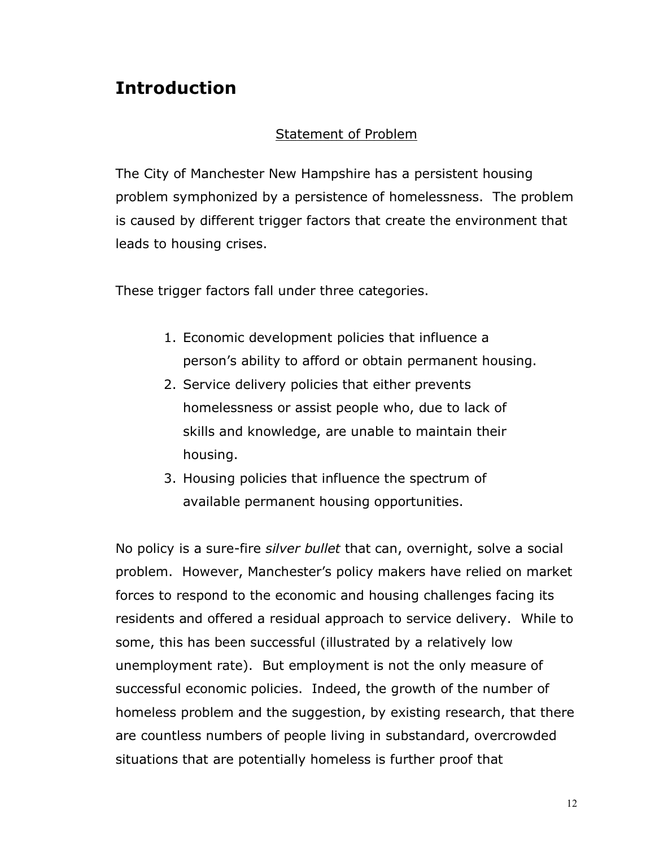# **Introduction**

### Statement of Problem

The City of Manchester New Hampshire has a persistent housing problem symphonized by a persistence of homelessness. The problem is caused by different trigger factors that create the environment that leads to housing crises.

These trigger factors fall under three categories.

- 1. Economic development policies that influence a person's ability to afford or obtain permanent housing.
- 2. Service delivery policies that either prevents homelessness or assist people who, due to lack of skills and knowledge, are unable to maintain their housing.
- 3. Housing policies that influence the spectrum of available permanent housing opportunities.

No policy is a sure-fire *silver bullet* that can, overnight, solve a social problem. However, Manchester's policy makers have relied on market forces to respond to the economic and housing challenges facing its residents and offered a residual approach to service delivery. While to some, this has been successful (illustrated by a relatively low unemployment rate). But employment is not the only measure of successful economic policies. Indeed, the growth of the number of homeless problem and the suggestion, by existing research, that there are countless numbers of people living in substandard, overcrowded situations that are potentially homeless is further proof that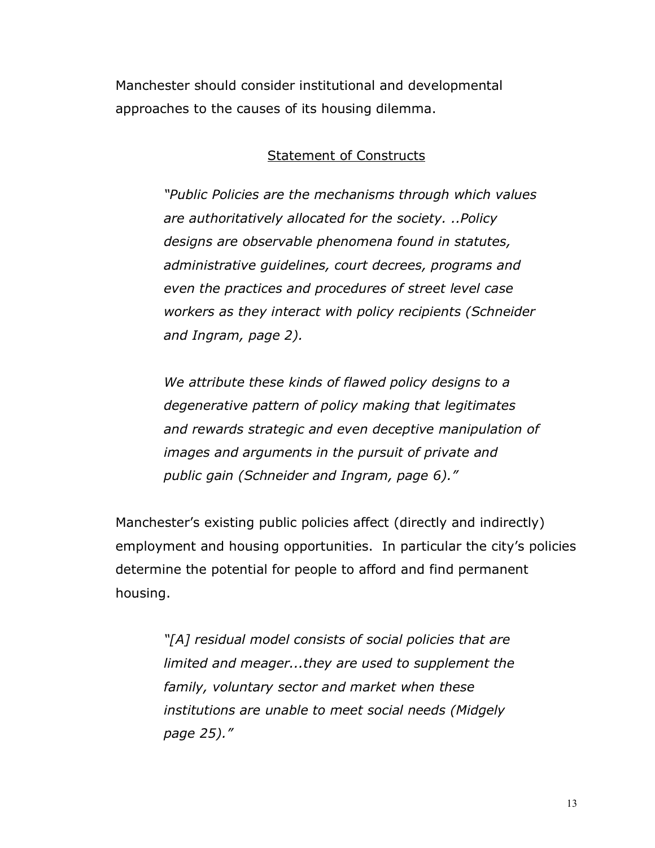Manchester should consider institutional and developmental approaches to the causes of its housing dilemma.

#### Statement of Constructs

*"Public Policies are the mechanisms through which values are authoritatively allocated for the society. ..Policy designs are observable phenomena found in statutes, administrative guidelines, court decrees, programs and even the practices and procedures of street level case workers as they interact with policy recipients (Schneider and Ingram, page 2).*

*We attribute these kinds of flawed policy designs to a degenerative pattern of policy making that legitimates and rewards strategic and even deceptive manipulation of images and arguments in the pursuit of private and public gain (Schneider and Ingram, page 6)."*

Manchester's existing public policies affect (directly and indirectly) employment and housing opportunities. In particular the city's policies determine the potential for people to afford and find permanent housing.

> *"[A] residual model consists of social policies that are limited and meager...they are used to supplement the family, voluntary sector and market when these institutions are unable to meet social needs (Midgely page 25)."*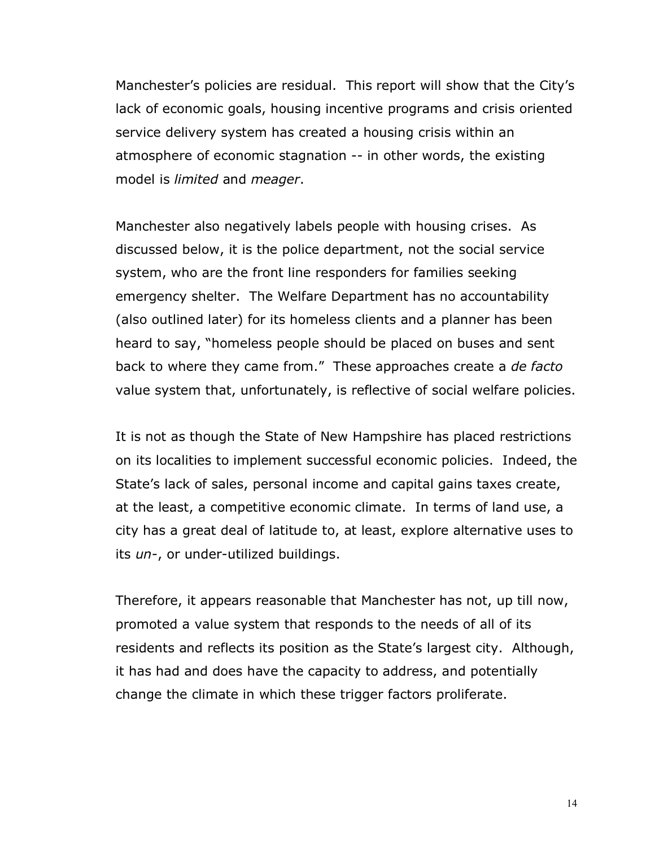Manchester's policies are residual. This report will show that the City's lack of economic goals, housing incentive programs and crisis oriented service delivery system has created a housing crisis within an atmosphere of economic stagnation -- in other words, the existing model is *limited* and *meager*.

Manchester also negatively labels people with housing crises. As discussed below, it is the police department, not the social service system, who are the front line responders for families seeking emergency shelter. The Welfare Department has no accountability (also outlined later) for its homeless clients and a planner has been heard to say, "homeless people should be placed on buses and sent back to where they came from." These approaches create a *de facto* value system that, unfortunately, is reflective of social welfare policies.

It is not as though the State of New Hampshire has placed restrictions on its localities to implement successful economic policies. Indeed, the State's lack of sales, personal income and capital gains taxes create, at the least, a competitive economic climate. In terms of land use, a city has a great deal of latitude to, at least, explore alternative uses to its *un-*, or under-utilized buildings.

Therefore, it appears reasonable that Manchester has not, up till now, promoted a value system that responds to the needs of all of its residents and reflects its position as the State's largest city. Although, it has had and does have the capacity to address, and potentially change the climate in which these trigger factors proliferate.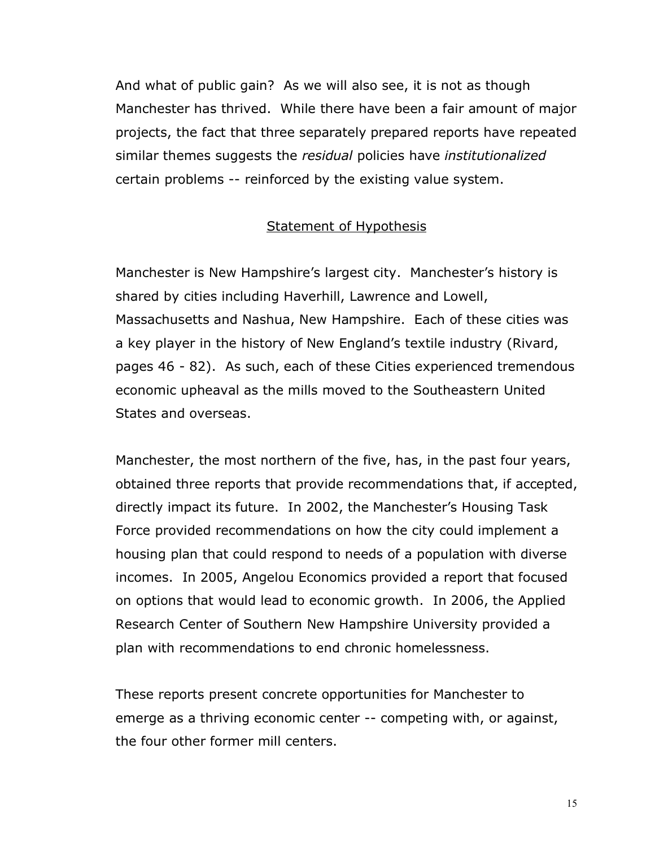And what of public gain? As we will also see, it is not as though Manchester has thrived. While there have been a fair amount of major projects, the fact that three separately prepared reports have repeated similar themes suggests the *residual* policies have *institutionalized* certain problems -- reinforced by the existing value system.

#### **Statement of Hypothesis**

Manchester is New Hampshire's largest city. Manchester's history is shared by cities including Haverhill, Lawrence and Lowell, Massachusetts and Nashua, New Hampshire. Each of these cities was a key player in the history of New England's textile industry (Rivard, pages 46 - 82). As such, each of these Cities experienced tremendous economic upheaval as the mills moved to the Southeastern United States and overseas.

Manchester, the most northern of the five, has, in the past four years, obtained three reports that provide recommendations that, if accepted, directly impact its future. In 2002, the Manchester's Housing Task Force provided recommendations on how the city could implement a housing plan that could respond to needs of a population with diverse incomes. In 2005, Angelou Economics provided a report that focused on options that would lead to economic growth. In 2006, the Applied Research Center of Southern New Hampshire University provided a plan with recommendations to end chronic homelessness.

These reports present concrete opportunities for Manchester to emerge as a thriving economic center -- competing with, or against, the four other former mill centers.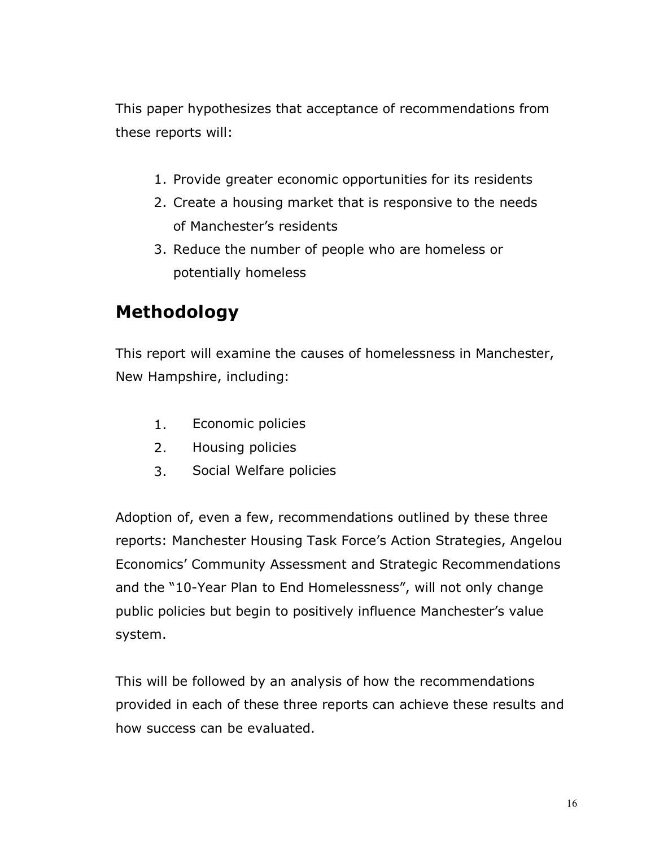This paper hypothesizes that acceptance of recommendations from these reports will:

- 1. Provide greater economic opportunities for its residents
- 2. Create a housing market that is responsive to the needs of Manchester's residents
- 3. Reduce the number of people who are homeless or potentially homeless

# **Methodology**

This report will examine the causes of homelessness in Manchester, New Hampshire, including:

- 1. Economic policies
- 2. Housing policies
- 3. Social Welfare policies

Adoption of, even a few, recommendations outlined by these three reports: Manchester Housing Task Force's Action Strategies, Angelou Economics' Community Assessment and Strategic Recommendations and the "10-Year Plan to End Homelessness", will not only change public policies but begin to positively influence Manchester's value system.

This will be followed by an analysis of how the recommendations provided in each of these three reports can achieve these results and how success can be evaluated.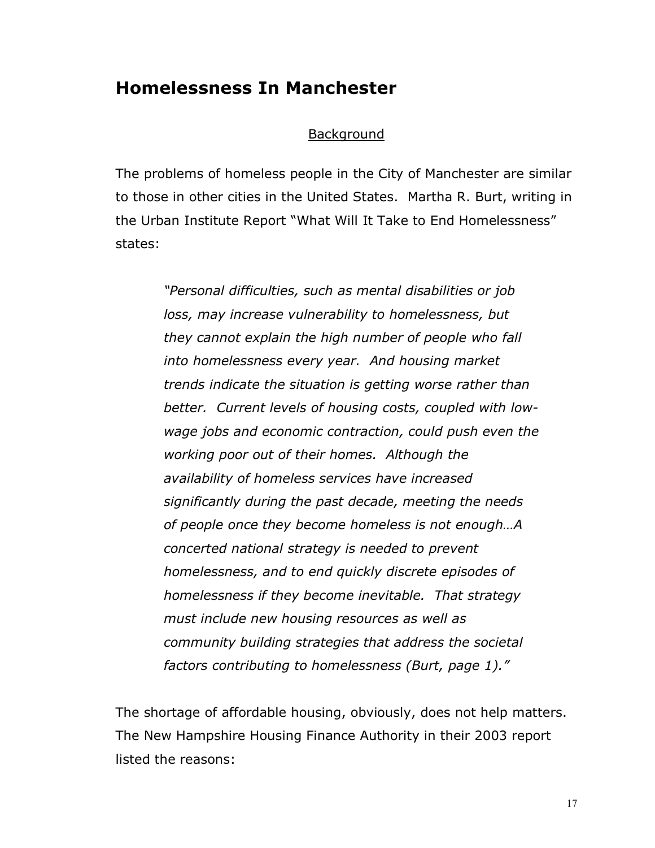### **Homelessness In Manchester**

#### **Background**

The problems of homeless people in the City of Manchester are similar to those in other cities in the United States. Martha R. Burt, writing in the Urban Institute Report "What Will It Take to End Homelessness" states:

> *"Personal difficulties, such as mental disabilities or job loss, may increase vulnerability to homelessness, but they cannot explain the high number of people who fall into homelessness every year. And housing market trends indicate the situation is getting worse rather than better. Current levels of housing costs, coupled with lowwage jobs and economic contraction, could push even the working poor out of their homes. Although the availability of homeless services have increased significantly during the past decade, meeting the needs of people once they become homeless is not enough…A concerted national strategy is needed to prevent homelessness, and to end quickly discrete episodes of homelessness if they become inevitable. That strategy must include new housing resources as well as community building strategies that address the societal factors contributing to homelessness (Burt, page 1)."*

The shortage of affordable housing, obviously, does not help matters. The New Hampshire Housing Finance Authority in their 2003 report listed the reasons: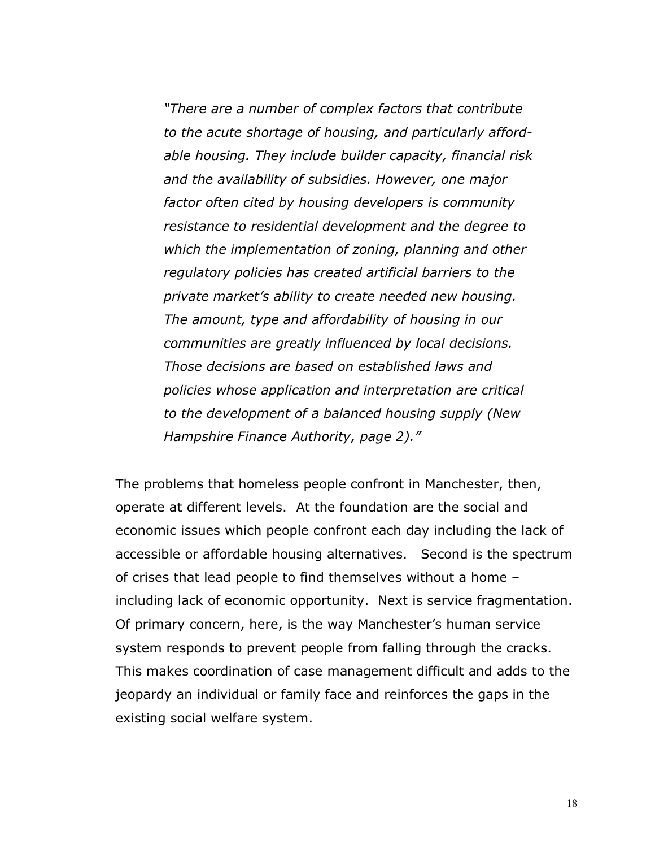*"There are a number of complex factors that contribute to the acute shortage of housing, and particularly affordable housing. They include builder capacity, financial risk and the availability of subsidies. However, one major factor often cited by housing developers is community resistance to residential development and the degree to which the implementation of zoning, planning and other regulatory policies has created artificial barriers to the private market's ability to create needed new housing. The amount, type and affordability of housing in our communities are greatly influenced by local decisions. Those decisions are based on established laws and policies whose application and interpretation are critical to the development of a balanced housing supply (New Hampshire Finance Authority, page 2)."*

The problems that homeless people confront in Manchester, then, operate at different levels. At the foundation are the social and economic issues which people confront each day including the lack of accessible or affordable housing alternatives. Second is the spectrum of crises that lead people to find themselves without a home – including lack of economic opportunity. Next is service fragmentation. Of primary concern, here, is the way Manchester's human service system responds to prevent people from falling through the cracks. This makes coordination of case management difficult and adds to the jeopardy an individual or family face and reinforces the gaps in the existing social welfare system.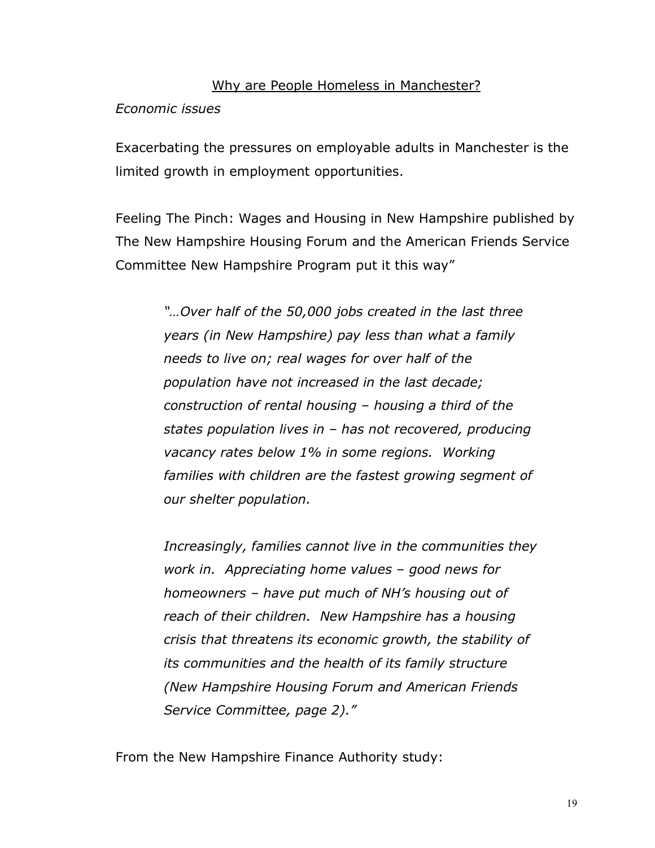#### Why are People Homeless in Manchester?

#### *Economic issues*

Exacerbating the pressures on employable adults in Manchester is the limited growth in employment opportunities.

Feeling The Pinch: Wages and Housing in New Hampshire published by The New Hampshire Housing Forum and the American Friends Service Committee New Hampshire Program put it this way"

> *"…Over half of the 50,000 jobs created in the last three years (in New Hampshire) pay less than what a family needs to live on; real wages for over half of the population have not increased in the last decade; construction of rental housing – housing a third of the states population lives in – has not recovered, producing vacancy rates below 1% in some regions. Working families with children are the fastest growing segment of our shelter population.*

> *Increasingly, families cannot live in the communities they work in. Appreciating home values – good news for homeowners – have put much of NH's housing out of reach of their children. New Hampshire has a housing crisis that threatens its economic growth, the stability of its communities and the health of its family structure (New Hampshire Housing Forum and American Friends Service Committee, page 2)."*

From the New Hampshire Finance Authority study: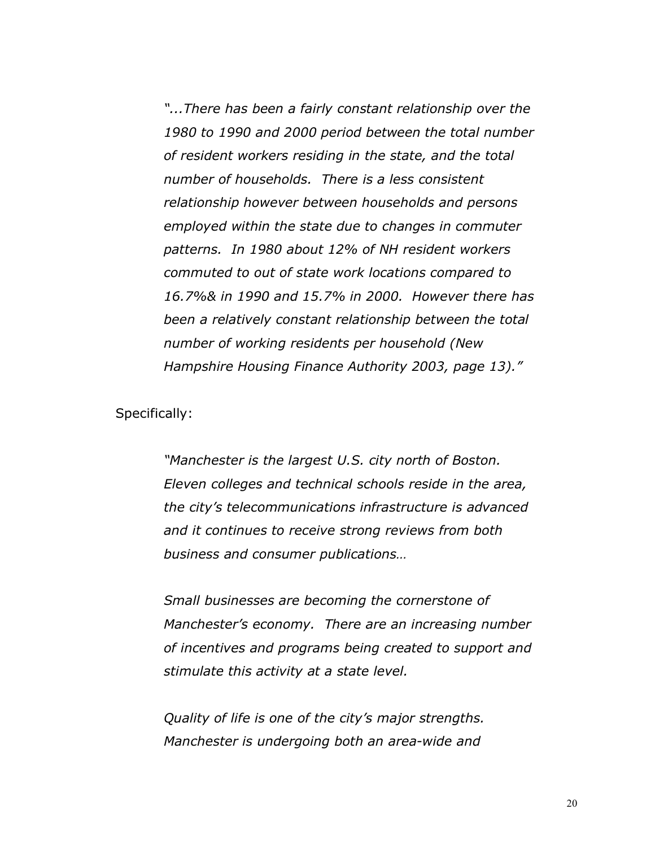*"...There has been a fairly constant relationship over the 1980 to 1990 and 2000 period between the total number of resident workers residing in the state, and the total number of households. There is a less consistent relationship however between households and persons employed within the state due to changes in commuter patterns. In 1980 about 12% of NH resident workers commuted to out of state work locations compared to 16.7%& in 1990 and 15.7% in 2000. However there has been a relatively constant relationship between the total number of working residents per household (New Hampshire Housing Finance Authority 2003, page 13)."*

Specifically:

*"Manchester is the largest U.S. city north of Boston. Eleven colleges and technical schools reside in the area, the city's telecommunications infrastructure is advanced and it continues to receive strong reviews from both business and consumer publications…*

*Small businesses are becoming the cornerstone of Manchester's economy. There are an increasing number of incentives and programs being created to support and stimulate this activity at a state level.*

*Quality of life is one of the city's major strengths. Manchester is undergoing both an area-wide and*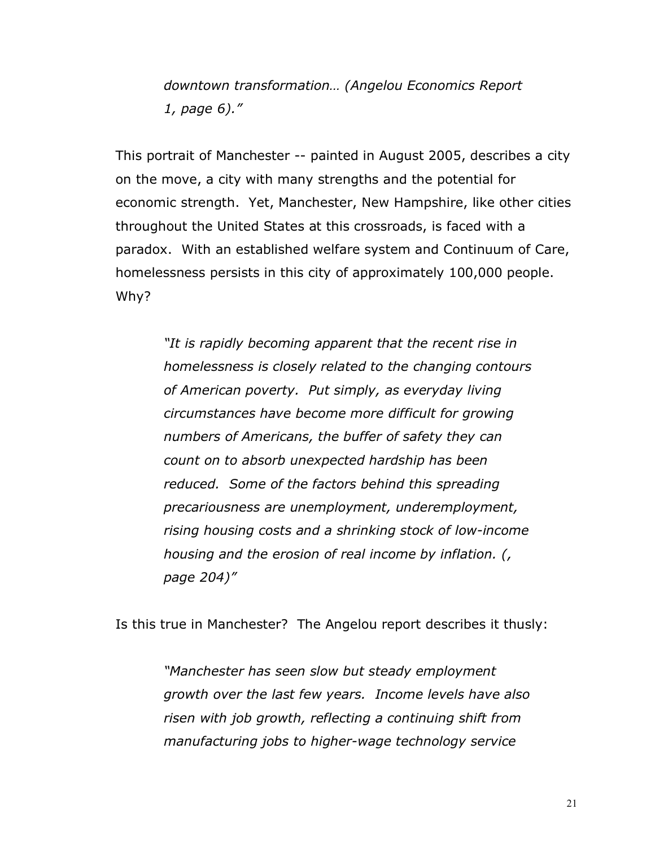*downtown transformation… (Angelou Economics Report 1, page 6)."*

This portrait of Manchester -- painted in August 2005, describes a city on the move, a city with many strengths and the potential for economic strength. Yet, Manchester, New Hampshire, like other cities throughout the United States at this crossroads, is faced with a paradox. With an established welfare system and Continuum of Care, homelessness persists in this city of approximately 100,000 people. Why?

> *"It is rapidly becoming apparent that the recent rise in homelessness is closely related to the changing contours of American poverty. Put simply, as everyday living circumstances have become more difficult for growing numbers of Americans, the buffer of safety they can count on to absorb unexpected hardship has been reduced. Some of the factors behind this spreading precariousness are unemployment, underemployment, rising housing costs and a shrinking stock of low-income housing and the erosion of real income by inflation. (, page 204)"*

Is this true in Manchester? The Angelou report describes it thusly:

*"Manchester has seen slow but steady employment growth over the last few years. Income levels have also risen with job growth, reflecting a continuing shift from manufacturing jobs to higher-wage technology service*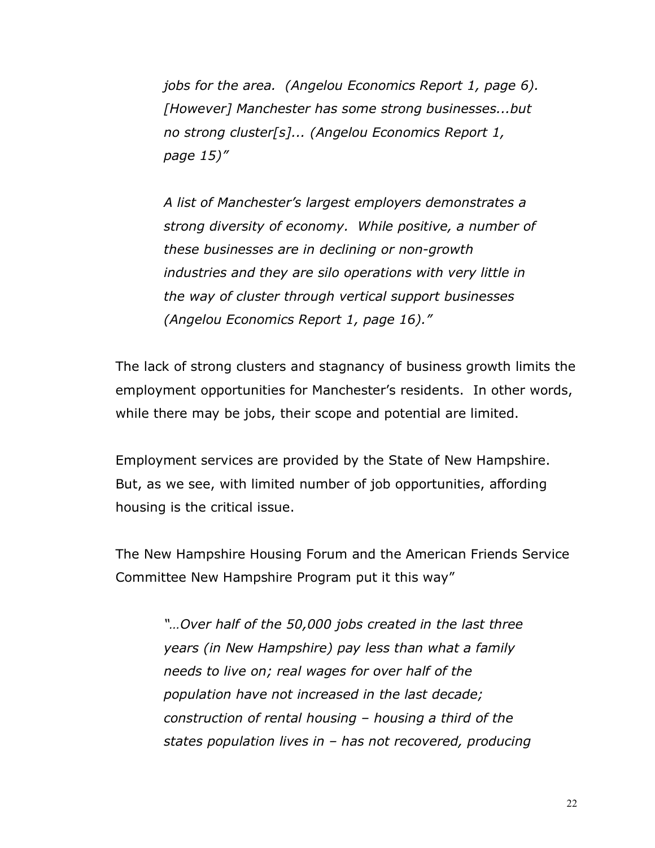*jobs for the area. (Angelou Economics Report 1, page 6). [However] Manchester has some strong businesses...but no strong cluster[s]... (Angelou Economics Report 1, page 15)"*

*A list of Manchester's largest employers demonstrates a strong diversity of economy. While positive, a number of these businesses are in declining or non-growth industries and they are silo operations with very little in the way of cluster through vertical support businesses (Angelou Economics Report 1, page 16)."*

The lack of strong clusters and stagnancy of business growth limits the employment opportunities for Manchester's residents. In other words, while there may be jobs, their scope and potential are limited.

Employment services are provided by the State of New Hampshire. But, as we see, with limited number of job opportunities, affording housing is the critical issue.

The New Hampshire Housing Forum and the American Friends Service Committee New Hampshire Program put it this way"

> *"…Over half of the 50,000 jobs created in the last three years (in New Hampshire) pay less than what a family needs to live on; real wages for over half of the population have not increased in the last decade; construction of rental housing – housing a third of the states population lives in – has not recovered, producing*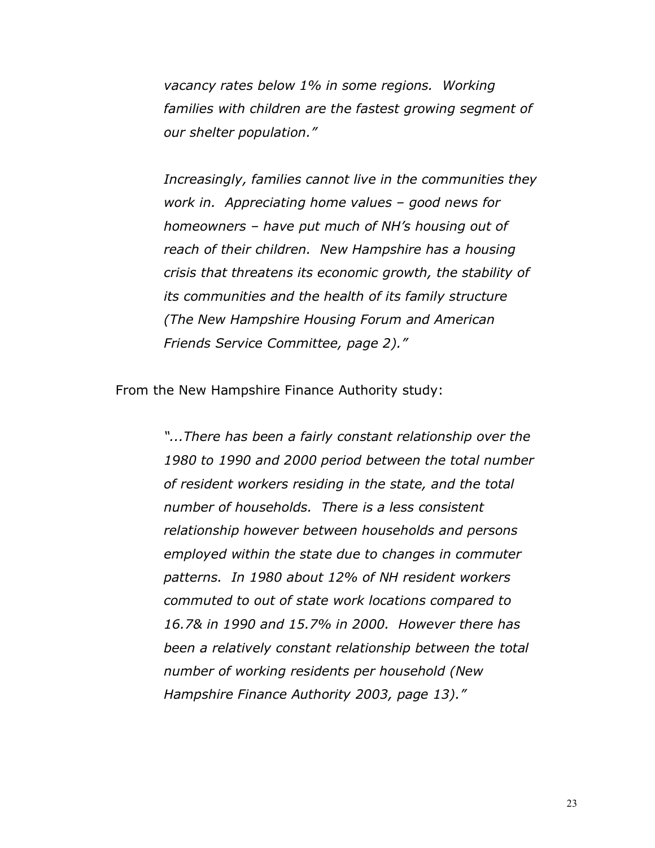*vacancy rates below 1% in some regions. Working families with children are the fastest growing segment of our shelter population."*

*Increasingly, families cannot live in the communities they work in. Appreciating home values – good news for homeowners – have put much of NH's housing out of reach of their children. New Hampshire has a housing crisis that threatens its economic growth, the stability of its communities and the health of its family structure (The New Hampshire Housing Forum and American Friends Service Committee, page 2)."*

From the New Hampshire Finance Authority study:

*"...There has been a fairly constant relationship over the 1980 to 1990 and 2000 period between the total number of resident workers residing in the state, and the total number of households. There is a less consistent relationship however between households and persons employed within the state due to changes in commuter patterns. In 1980 about 12% of NH resident workers commuted to out of state work locations compared to 16.7& in 1990 and 15.7% in 2000. However there has been a relatively constant relationship between the total number of working residents per household (New Hampshire Finance Authority 2003, page 13)."*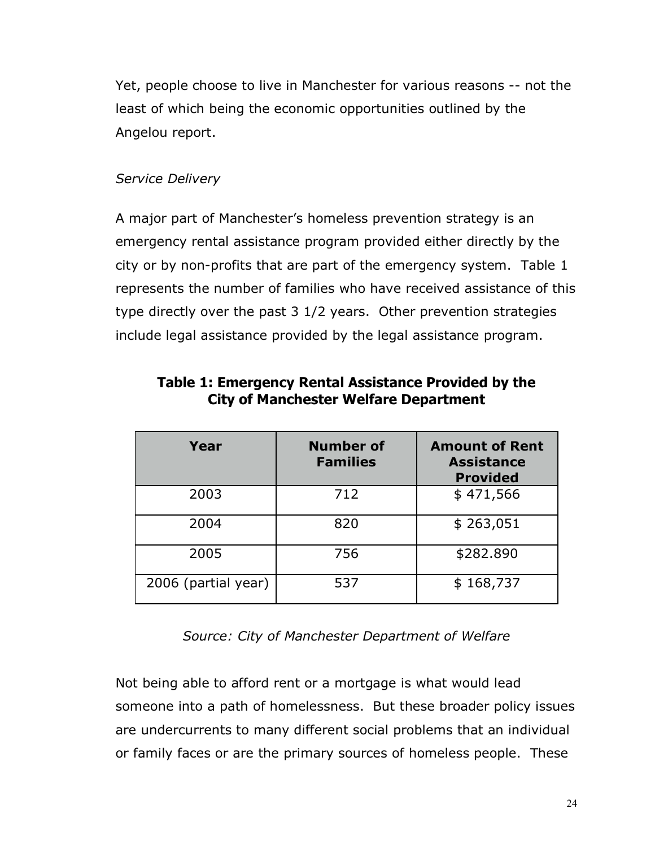Yet, people choose to live in Manchester for various reasons -- not the least of which being the economic opportunities outlined by the Angelou report.

#### *Service Delivery*

A major part of Manchester's homeless prevention strategy is an emergency rental assistance program provided either directly by the city or by non-profits that are part of the emergency system. Table 1 represents the number of families who have received assistance of this type directly over the past 3 1/2 years. Other prevention strategies include legal assistance provided by the legal assistance program.

| Year                | <b>Number of</b><br><b>Families</b> | <b>Amount of Rent</b><br><b>Assistance</b><br><b>Provided</b> |
|---------------------|-------------------------------------|---------------------------------------------------------------|
| 2003                | 712                                 | \$471,566                                                     |
| 2004                | 820                                 | \$263,051                                                     |
| 2005                | 756                                 | \$282.890                                                     |
| 2006 (partial year) | 537                                 | \$168,737                                                     |

### **Table 1: Emergency Rental Assistance Provided by the City of Manchester Welfare Department**

#### *Source: City of Manchester Department of Welfare*

Not being able to afford rent or a mortgage is what would lead someone into a path of homelessness. But these broader policy issues are undercurrents to many different social problems that an individual or family faces or are the primary sources of homeless people. These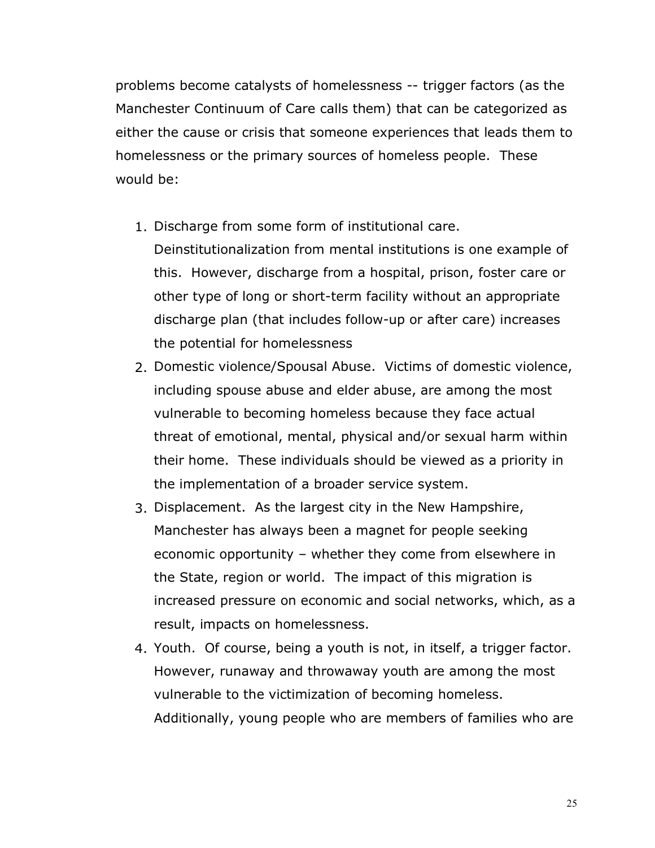problems become catalysts of homelessness -- trigger factors (as the Manchester Continuum of Care calls them) that can be categorized as either the cause or crisis that someone experiences that leads them to homelessness or the primary sources of homeless people. These would be:

1. Discharge from some form of institutional care.

Deinstitutionalization from mental institutions is one example of this. However, discharge from a hospital, prison, foster care or other type of long or short-term facility without an appropriate discharge plan (that includes follow-up or after care) increases the potential for homelessness

- 2. Domestic violence/Spousal Abuse. Victims of domestic violence, including spouse abuse and elder abuse, are among the most vulnerable to becoming homeless because they face actual threat of emotional, mental, physical and/or sexual harm within their home. These individuals should be viewed as a priority in the implementation of a broader service system.
- 3. Displacement. As the largest city in the New Hampshire, Manchester has always been a magnet for people seeking economic opportunity – whether they come from elsewhere in the State, region or world. The impact of this migration is increased pressure on economic and social networks, which, as a result, impacts on homelessness.
- 4. Youth. Of course, being a youth is not, in itself, a trigger factor. However, runaway and throwaway youth are among the most vulnerable to the victimization of becoming homeless. Additionally, young people who are members of families who are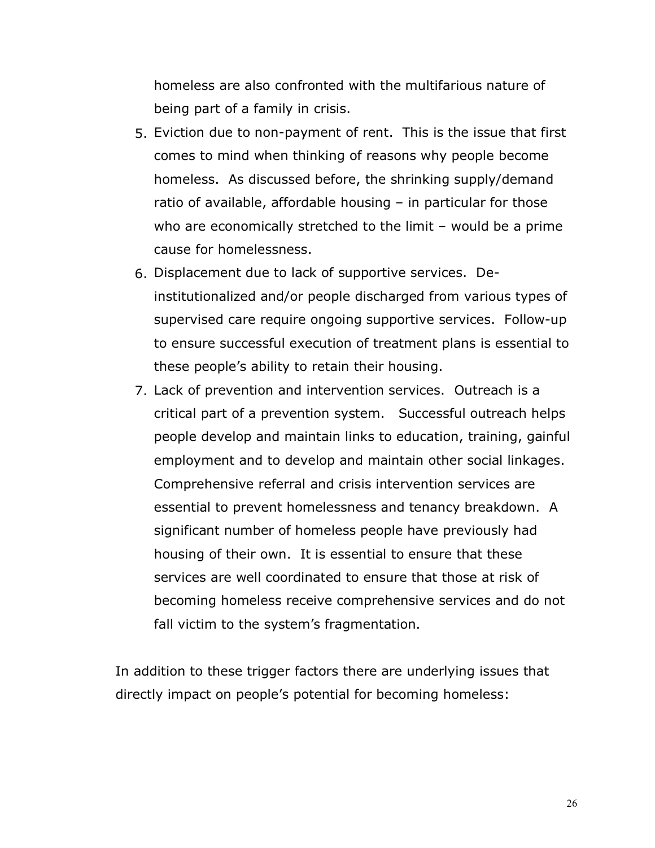homeless are also confronted with the multifarious nature of being part of a family in crisis.

- 5. Eviction due to non-payment of rent. This is the issue that first comes to mind when thinking of reasons why people become homeless. As discussed before, the shrinking supply/demand ratio of available, affordable housing – in particular for those who are economically stretched to the limit – would be a prime cause for homelessness.
- 6. Displacement due to lack of supportive services. Deinstitutionalized and/or people discharged from various types of supervised care require ongoing supportive services. Follow-up to ensure successful execution of treatment plans is essential to these people's ability to retain their housing.
- 7. Lack of prevention and intervention services. Outreach is a critical part of a prevention system. Successful outreach helps people develop and maintain links to education, training, gainful employment and to develop and maintain other social linkages. Comprehensive referral and crisis intervention services are essential to prevent homelessness and tenancy breakdown. A significant number of homeless people have previously had housing of their own. It is essential to ensure that these services are well coordinated to ensure that those at risk of becoming homeless receive comprehensive services and do not fall victim to the system's fragmentation.

In addition to these trigger factors there are underlying issues that directly impact on people's potential for becoming homeless: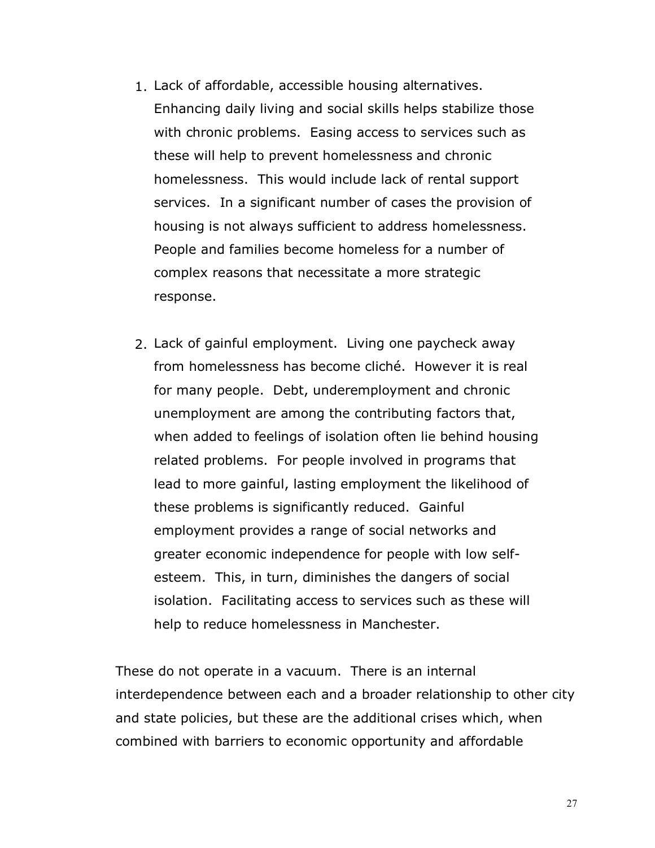- 1. Lack of affordable, accessible housing alternatives. Enhancing daily living and social skills helps stabilize those with chronic problems. Easing access to services such as these will help to prevent homelessness and chronic homelessness. This would include lack of rental support services. In a significant number of cases the provision of housing is not always sufficient to address homelessness. People and families become homeless for a number of complex reasons that necessitate a more strategic response.
- 2. Lack of gainful employment. Living one paycheck away from homelessness has become cliché. However it is real for many people. Debt, underemployment and chronic unemployment are among the contributing factors that, when added to feelings of isolation often lie behind housing related problems. For people involved in programs that lead to more gainful, lasting employment the likelihood of these problems is significantly reduced. Gainful employment provides a range of social networks and greater economic independence for people with low selfesteem. This, in turn, diminishes the dangers of social isolation. Facilitating access to services such as these will help to reduce homelessness in Manchester.

These do not operate in a vacuum. There is an internal interdependence between each and a broader relationship to other city and state policies, but these are the additional crises which, when combined with barriers to economic opportunity and affordable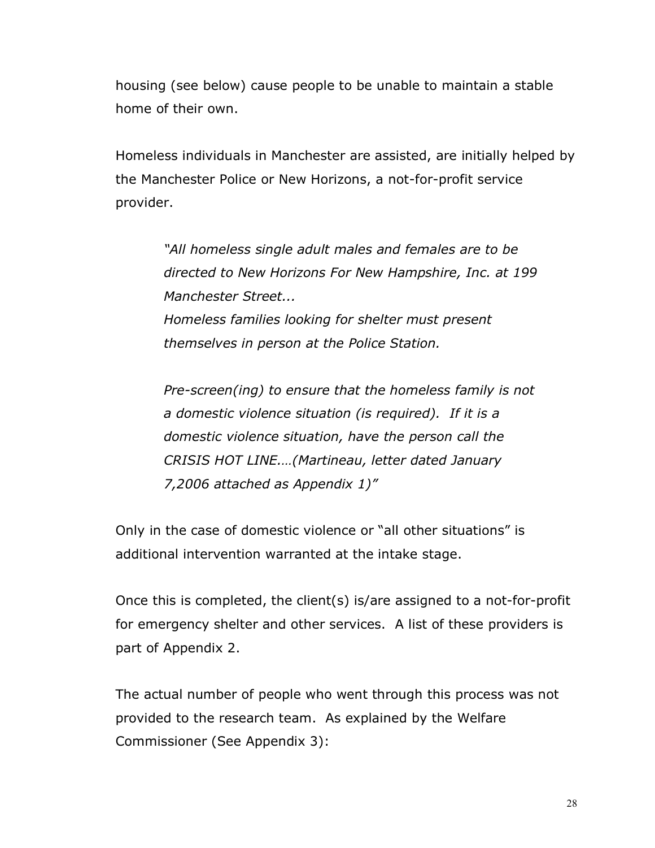housing (see below) cause people to be unable to maintain a stable home of their own.

Homeless individuals in Manchester are assisted, are initially helped by the Manchester Police or New Horizons, a not-for-profit service provider.

> *"All homeless single adult males and females are to be directed to New Horizons For New Hampshire, Inc. at 199 Manchester Street... Homeless families looking for shelter must present themselves in person at the Police Station.*

> *Pre-screen(ing) to ensure that the homeless family is not a domestic violence situation (is required). If it is a domestic violence situation, have the person call the CRISIS HOT LINE.…(Martineau, letter dated January 7,2006 attached as Appendix 1)"*

Only in the case of domestic violence or "all other situations" is additional intervention warranted at the intake stage.

Once this is completed, the client(s) is/are assigned to a not-for-profit for emergency shelter and other services. A list of these providers is part of Appendix 2.

The actual number of people who went through this process was not provided to the research team. As explained by the Welfare Commissioner (See Appendix 3):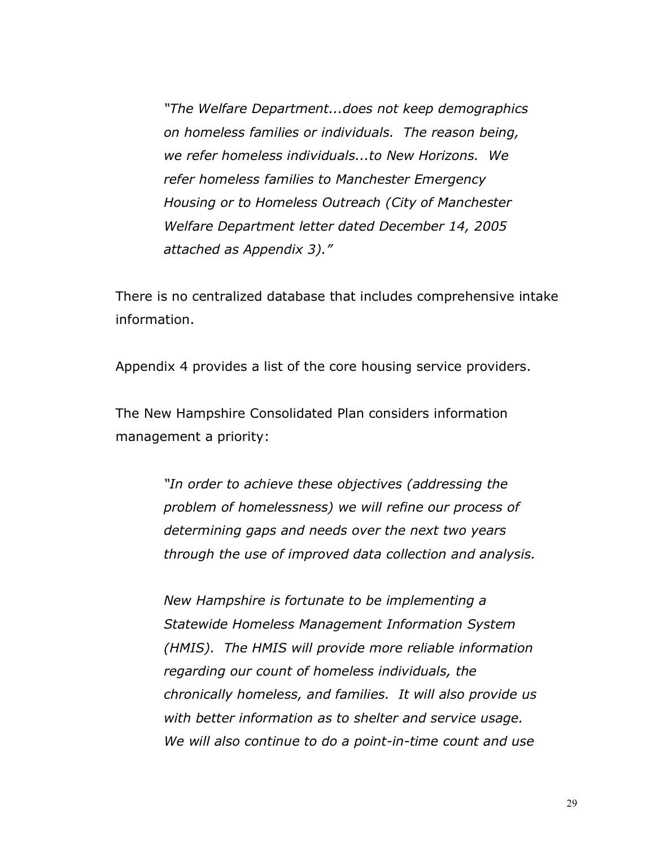*"The Welfare Department...does not keep demographics on homeless families or individuals. The reason being, we refer homeless individuals...to New Horizons. We refer homeless families to Manchester Emergency Housing or to Homeless Outreach (City of Manchester Welfare Department letter dated December 14, 2005 attached as Appendix 3)."*

There is no centralized database that includes comprehensive intake information.

Appendix 4 provides a list of the core housing service providers.

The New Hampshire Consolidated Plan considers information management a priority:

> *"In order to achieve these objectives (addressing the problem of homelessness) we will refine our process of determining gaps and needs over the next two years through the use of improved data collection and analysis.*

> *New Hampshire is fortunate to be implementing a Statewide Homeless Management Information System (HMIS). The HMIS will provide more reliable information regarding our count of homeless individuals, the chronically homeless, and families. It will also provide us with better information as to shelter and service usage. We will also continue to do a point-in-time count and use*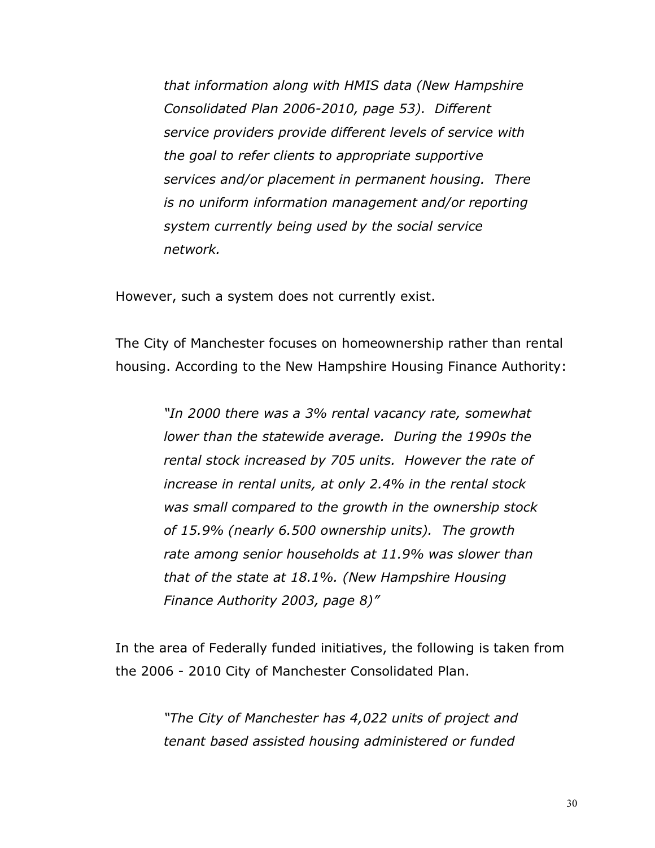*that information along with HMIS data (New Hampshire Consolidated Plan 2006-2010, page 53). Different service providers provide different levels of service with the goal to refer clients to appropriate supportive services and/or placement in permanent housing. There is no uniform information management and/or reporting system currently being used by the social service network.*

However, such a system does not currently exist.

The City of Manchester focuses on homeownership rather than rental housing. According to the New Hampshire Housing Finance Authority:

> *"In 2000 there was a 3% rental vacancy rate, somewhat lower than the statewide average. During the 1990s the rental stock increased by 705 units. However the rate of increase in rental units, at only 2.4% in the rental stock was small compared to the growth in the ownership stock of 15.9% (nearly 6.500 ownership units). The growth rate among senior households at 11.9% was slower than that of the state at 18.1%. (New Hampshire Housing Finance Authority 2003, page 8)"*

In the area of Federally funded initiatives, the following is taken from the 2006 - 2010 City of Manchester Consolidated Plan.

> *"The City of Manchester has 4,022 units of project and tenant based assisted housing administered or funded*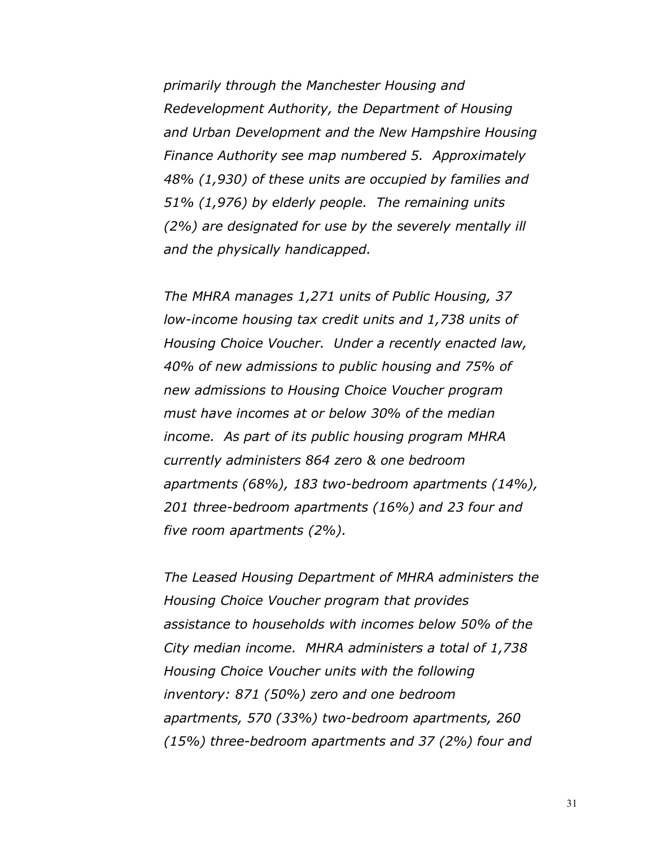*primarily through the Manchester Housing and Redevelopment Authority, the Department of Housing and Urban Development and the New Hampshire Housing Finance Authority see map numbered 5. Approximately 48% (1,930) of these units are occupied by families and 51% (1,976) by elderly people. The remaining units (2%) are designated for use by the severely mentally ill and the physically handicapped.*

*The MHRA manages 1,271 units of Public Housing, 37 low-income housing tax credit units and 1,738 units of Housing Choice Voucher. Under a recently enacted law, 40% of new admissions to public housing and 75% of new admissions to Housing Choice Voucher program must have incomes at or below 30% of the median income. As part of its public housing program MHRA currently administers 864 zero & one bedroom apartments (68%), 183 two-bedroom apartments (14%), 201 three-bedroom apartments (16%) and 23 four and five room apartments (2%).*

*The Leased Housing Department of MHRA administers the Housing Choice Voucher program that provides assistance to households with incomes below 50% of the City median income. MHRA administers a total of 1,738 Housing Choice Voucher units with the following inventory: 871 (50%) zero and one bedroom apartments, 570 (33%) two-bedroom apartments, 260 (15%) three-bedroom apartments and 37 (2%) four and*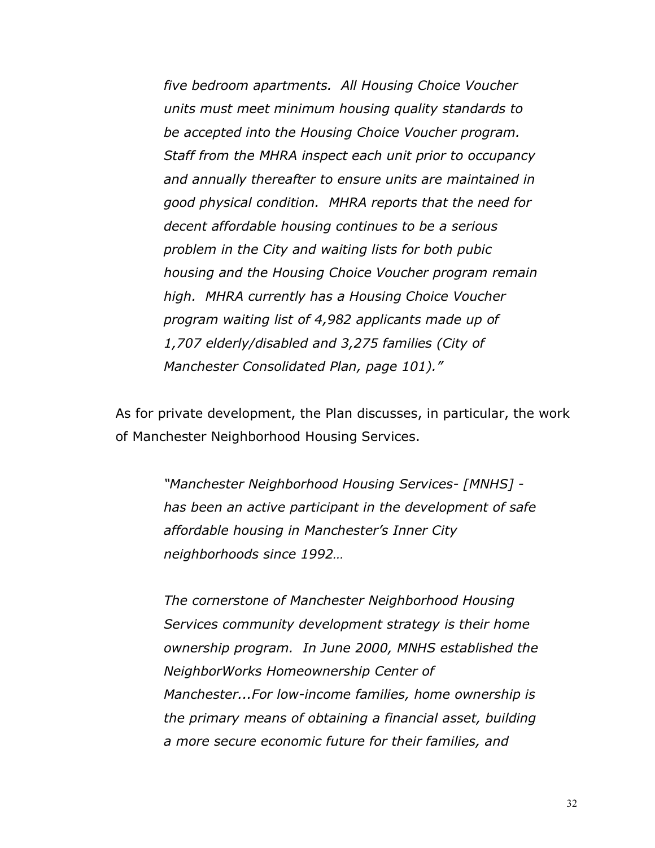*five bedroom apartments. All Housing Choice Voucher units must meet minimum housing quality standards to be accepted into the Housing Choice Voucher program. Staff from the MHRA inspect each unit prior to occupancy and annually thereafter to ensure units are maintained in good physical condition. MHRA reports that the need for decent affordable housing continues to be a serious problem in the City and waiting lists for both pubic housing and the Housing Choice Voucher program remain high. MHRA currently has a Housing Choice Voucher program waiting list of 4,982 applicants made up of 1,707 elderly/disabled and 3,275 families (City of Manchester Consolidated Plan, page 101)."*

As for private development, the Plan discusses, in particular, the work of Manchester Neighborhood Housing Services.

> *"Manchester Neighborhood Housing Services- [MNHS] has been an active participant in the development of safe affordable housing in Manchester's Inner City neighborhoods since 1992…*

> *The cornerstone of Manchester Neighborhood Housing Services community development strategy is their home ownership program. In June 2000, MNHS established the NeighborWorks Homeownership Center of Manchester...For low-income families, home ownership is the primary means of obtaining a financial asset, building a more secure economic future for their families, and*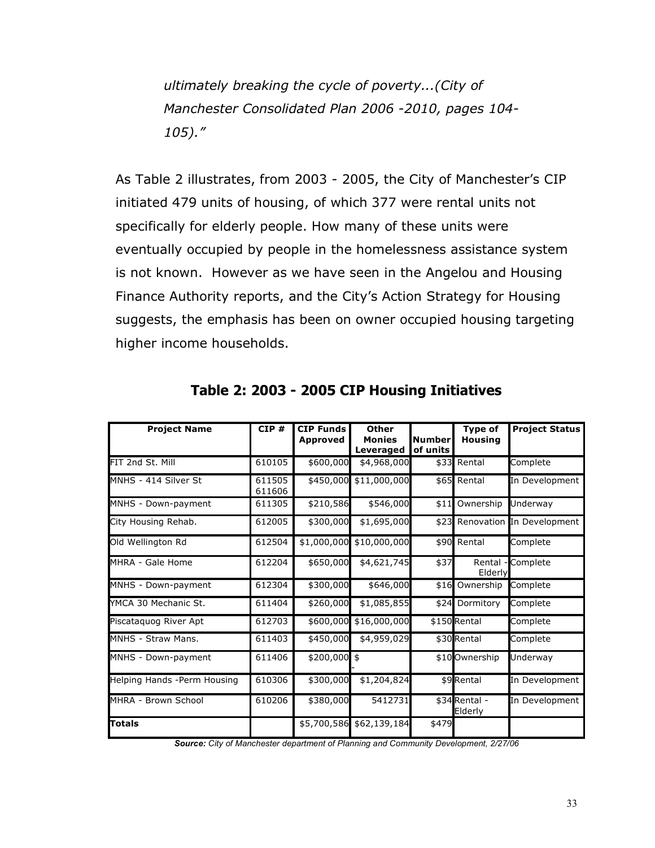*ultimately breaking the cycle of poverty...(City of Manchester Consolidated Plan 2006 -2010, pages 104- 105)."*

As Table 2 illustrates, from 2003 - 2005, the City of Manchester's CIP initiated 479 units of housing, of which 377 were rental units not specifically for elderly people. How many of these units were eventually occupied by people in the homelessness assistance system is not known. However as we have seen in the Angelou and Housing Finance Authority reports, and the City's Action Strategy for Housing suggests, the emphasis has been on owner occupied housing targeting higher income households.

| <b>Project Name</b>         | CIP#             | <b>CIP Funds</b><br><b>Approved</b> | <b>Other</b><br><b>Monies</b><br>Leveraged | <b>Number</b><br>of units | <b>Type of</b><br><b>Housing</b> | <b>Project Status</b>     |
|-----------------------------|------------------|-------------------------------------|--------------------------------------------|---------------------------|----------------------------------|---------------------------|
| FIT 2nd St. Mill            | 610105           | \$600,000                           | \$4,968,000                                |                           | \$33 Rental                      | Complete                  |
| MNHS - 414 Silver St        | 611505<br>611606 | \$450,000                           | \$11,000,000                               |                           | \$65 Rental                      | In Development            |
| MNHS - Down-payment         | 611305           | \$210,586                           | \$546,000                                  | \$11                      | Ownership                        | Underway                  |
| City Housing Rehab.         | 612005           | \$300,000                           | \$1,695,000                                | \$23                      |                                  | Renovation In Development |
| Old Wellington Rd           | 612504           | \$1,000,000                         | \$10,000,000                               |                           | \$90 Rental                      | Complete                  |
| MHRA - Gale Home            | 612204           | \$650,000                           | \$4,621,745                                | \$37                      | Rental<br>Elderly                | - Complete                |
| MNHS - Down-payment         | 612304           | \$300,000                           | \$646,000                                  | \$16                      | Ownership                        | Complete                  |
| YMCA 30 Mechanic St.        | 611404           | \$260,000                           | \$1,085,855                                | \$24                      | Dormitory                        | Complete                  |
| Piscataquog River Apt       | 612703           | \$600,000                           | \$16,000,000                               |                           | \$150 Rental                     | Complete                  |
| MNHS - Straw Mans.          | 611403           | \$450,000                           | \$4,959,029                                |                           | \$30 Rental                      | Complete                  |
| MNHS - Down-payment         | 611406           | $$200,000$ \$                       |                                            |                           | \$10 Ownership                   | Underway                  |
| Helping Hands -Perm Housing | 610306           | \$300,000                           | \$1,204,824                                |                           | \$9 Rental                       | In Development            |
| MHRA - Brown School         | 610206           | \$380,000                           | 5412731                                    |                           | \$34 Rental -<br>Elderly         | In Development            |
| <b>Totals</b>               |                  |                                     | \$5,700,586 \$62,139,184                   | \$479                     |                                  |                           |

**Table 2: 2003 - 2005 CIP Housing Initiatives**

*Source: City of Manchester department of Planning and Community Development, 2/27/06*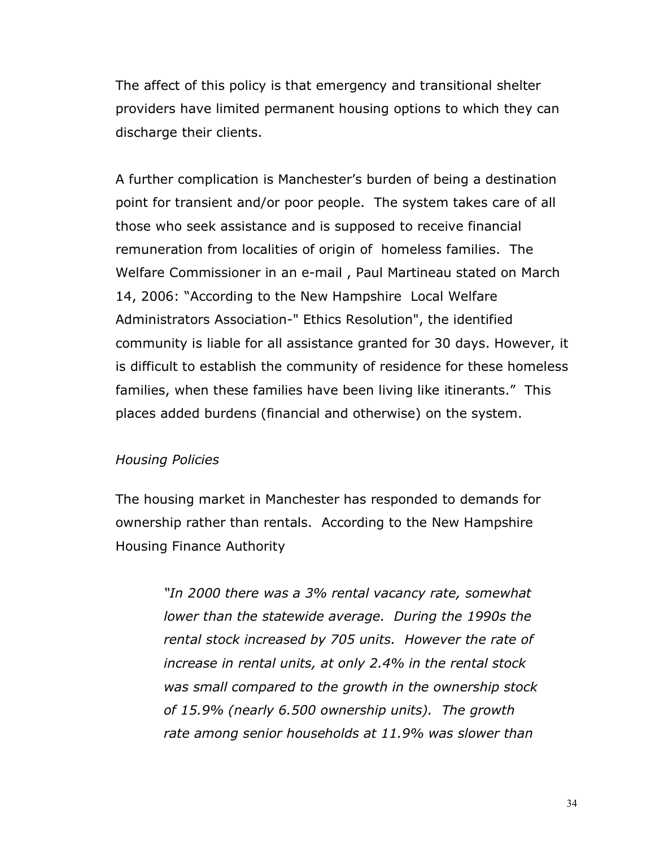The affect of this policy is that emergency and transitional shelter providers have limited permanent housing options to which they can discharge their clients.

A further complication is Manchester's burden of being a destination point for transient and/or poor people. The system takes care of all those who seek assistance and is supposed to receive financial remuneration from localities of origin of homeless families. The Welfare Commissioner in an e-mail , Paul Martineau stated on March 14, 2006: "According to the New Hampshire Local Welfare Administrators Association-" Ethics Resolution", the identified community is liable for all assistance granted for 30 days. However, it is difficult to establish the community of residence for these homeless families, when these families have been living like itinerants." This places added burdens (financial and otherwise) on the system.

#### *Housing Policies*

The housing market in Manchester has responded to demands for ownership rather than rentals. According to the New Hampshire Housing Finance Authority

> *"In 2000 there was a 3% rental vacancy rate, somewhat lower than the statewide average. During the 1990s the rental stock increased by 705 units. However the rate of increase in rental units, at only 2.4% in the rental stock was small compared to the growth in the ownership stock of 15.9% (nearly 6.500 ownership units). The growth rate among senior households at 11.9% was slower than*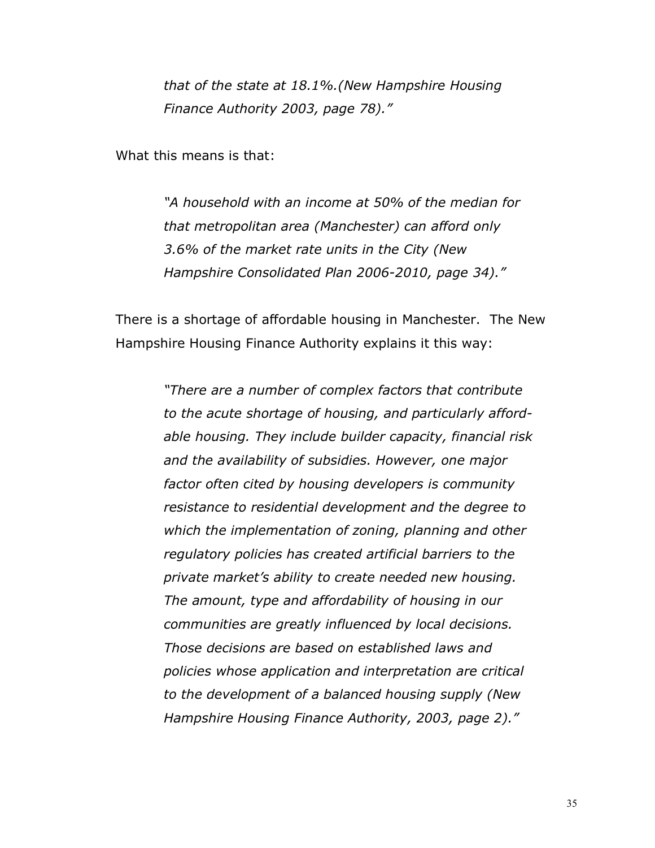*that of the state at 18.1%.(New Hampshire Housing Finance Authority 2003, page 78)."*

What this means is that:

*"A household with an income at 50% of the median for that metropolitan area (Manchester) can afford only 3.6% of the market rate units in the City (New Hampshire Consolidated Plan 2006-2010, page 34)."*

There is a shortage of affordable housing in Manchester. The New Hampshire Housing Finance Authority explains it this way:

> *"There are a number of complex factors that contribute to the acute shortage of housing, and particularly affordable housing. They include builder capacity, financial risk and the availability of subsidies. However, one major factor often cited by housing developers is community resistance to residential development and the degree to which the implementation of zoning, planning and other regulatory policies has created artificial barriers to the private market's ability to create needed new housing. The amount, type and affordability of housing in our communities are greatly influenced by local decisions. Those decisions are based on established laws and policies whose application and interpretation are critical to the development of a balanced housing supply (New Hampshire Housing Finance Authority, 2003, page 2)."*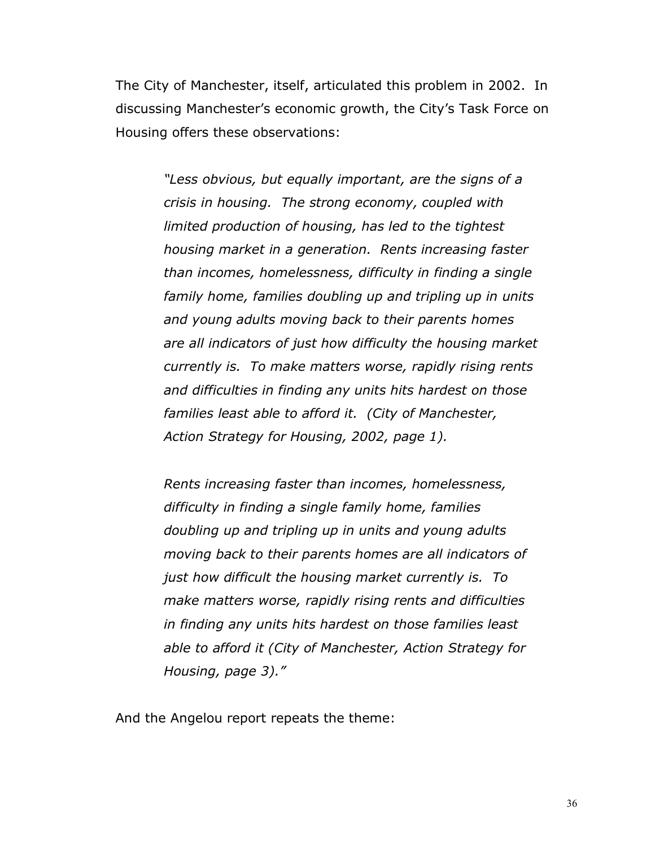The City of Manchester, itself, articulated this problem in 2002. In discussing Manchester's economic growth, the City's Task Force on Housing offers these observations:

> *"Less obvious, but equally important, are the signs of a crisis in housing. The strong economy, coupled with limited production of housing, has led to the tightest housing market in a generation. Rents increasing faster than incomes, homelessness, difficulty in finding a single family home, families doubling up and tripling up in units and young adults moving back to their parents homes are all indicators of just how difficulty the housing market currently is. To make matters worse, rapidly rising rents and difficulties in finding any units hits hardest on those families least able to afford it. (City of Manchester, Action Strategy for Housing, 2002, page 1).*

*Rents increasing faster than incomes, homelessness, difficulty in finding a single family home, families doubling up and tripling up in units and young adults moving back to their parents homes are all indicators of just how difficult the housing market currently is. To make matters worse, rapidly rising rents and difficulties in finding any units hits hardest on those families least able to afford it (City of Manchester, Action Strategy for Housing, page 3)."*

And the Angelou report repeats the theme: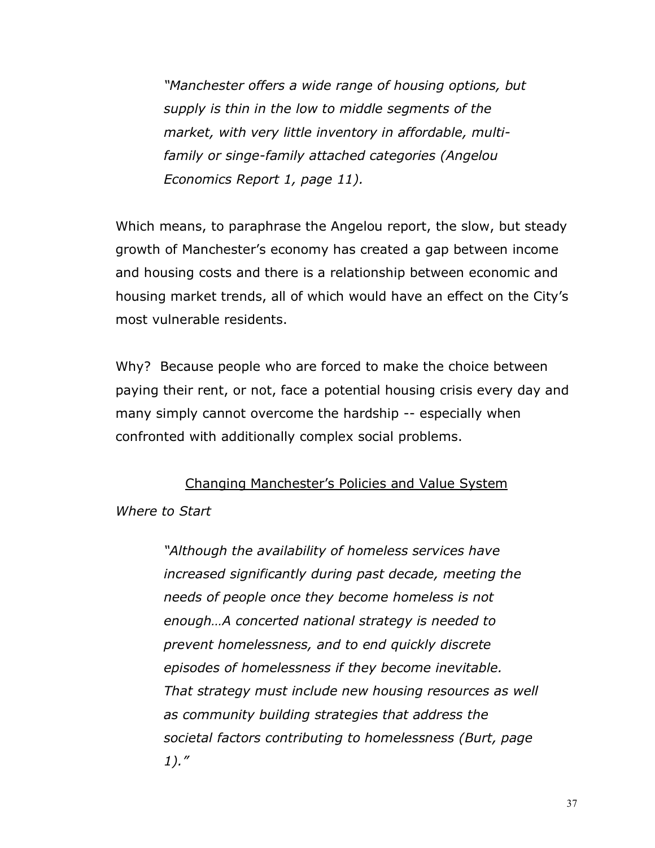*"Manchester offers a wide range of housing options, but supply is thin in the low to middle segments of the market, with very little inventory in affordable, multifamily or singe-family attached categories (Angelou Economics Report 1, page 11).*

Which means, to paraphrase the Angelou report, the slow, but steady growth of Manchester's economy has created a gap between income and housing costs and there is a relationship between economic and housing market trends, all of which would have an effect on the City's most vulnerable residents.

Why? Because people who are forced to make the choice between paying their rent, or not, face a potential housing crisis every day and many simply cannot overcome the hardship -- especially when confronted with additionally complex social problems.

#### Changing Manchester's Policies and Value System

*Where to Start*

*"Although the availability of homeless services have increased significantly during past decade, meeting the needs of people once they become homeless is not enough…A concerted national strategy is needed to prevent homelessness, and to end quickly discrete episodes of homelessness if they become inevitable. That strategy must include new housing resources as well as community building strategies that address the societal factors contributing to homelessness (Burt, page 1)."*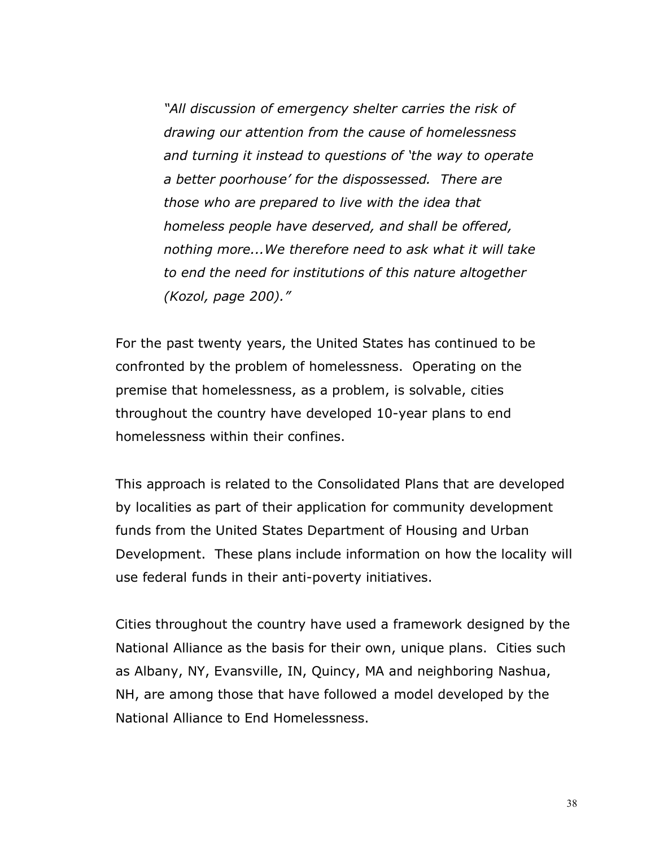*"All discussion of emergency shelter carries the risk of drawing our attention from the cause of homelessness and turning it instead to questions of 'the way to operate a better poorhouse' for the dispossessed. There are those who are prepared to live with the idea that homeless people have deserved, and shall be offered, nothing more...We therefore need to ask what it will take to end the need for institutions of this nature altogether (Kozol, page 200)."*

For the past twenty years, the United States has continued to be confronted by the problem of homelessness. Operating on the premise that homelessness, as a problem, is solvable, cities throughout the country have developed 10-year plans to end homelessness within their confines.

This approach is related to the Consolidated Plans that are developed by localities as part of their application for community development funds from the United States Department of Housing and Urban Development. These plans include information on how the locality will use federal funds in their anti-poverty initiatives.

Cities throughout the country have used a framework designed by the National Alliance as the basis for their own, unique plans. Cities such as Albany, NY, Evansville, IN, Quincy, MA and neighboring Nashua, NH, are among those that have followed a model developed by the National Alliance to End Homelessness.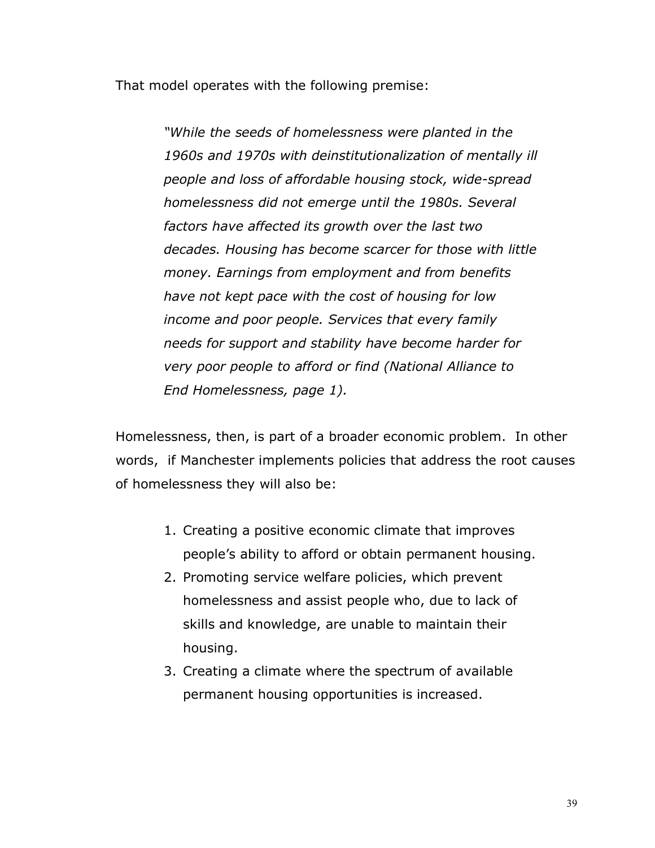That model operates with the following premise:

*"While the seeds of homelessness were planted in the 1960s and 1970s with deinstitutionalization of mentally ill people and loss of affordable housing stock, wide-spread homelessness did not emerge until the 1980s. Several factors have affected its growth over the last two decades. Housing has become scarcer for those with little money. Earnings from employment and from benefits have not kept pace with the cost of housing for low income and poor people. Services that every family needs for support and stability have become harder for very poor people to afford or find (National Alliance to End Homelessness, page 1).*

Homelessness, then, is part of a broader economic problem. In other words, if Manchester implements policies that address the root causes of homelessness they will also be:

- 1. Creating a positive economic climate that improves people's ability to afford or obtain permanent housing.
- 2. Promoting service welfare policies, which prevent homelessness and assist people who, due to lack of skills and knowledge, are unable to maintain their housing.
- 3. Creating a climate where the spectrum of available permanent housing opportunities is increased.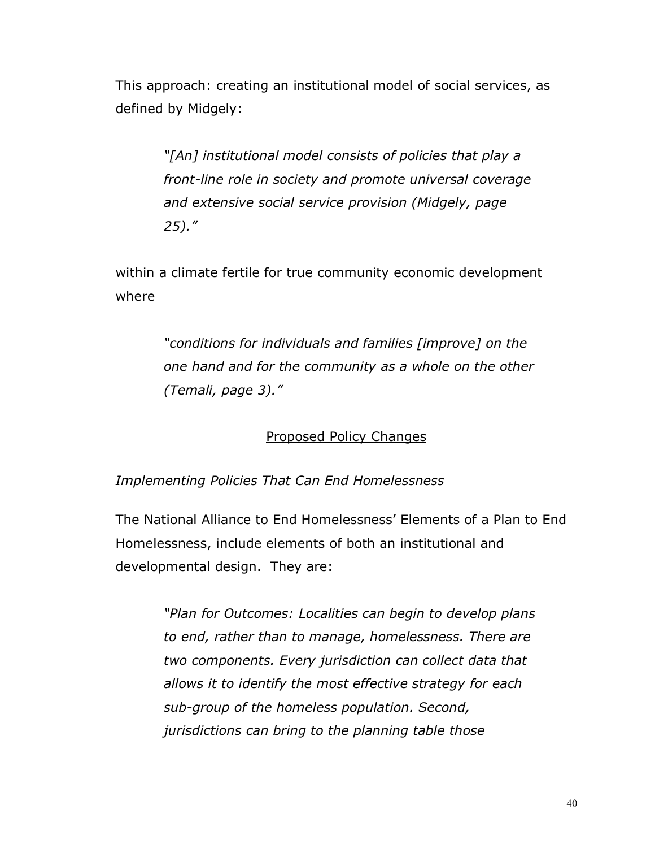This approach: creating an institutional model of social services, as defined by Midgely:

> *"[An] institutional model consists of policies that play a front-line role in society and promote universal coverage and extensive social service provision (Midgely, page 25)."*

within a climate fertile for true community economic development where

> *"conditions for individuals and families [improve] on the one hand and for the community as a whole on the other (Temali, page 3)."*

### Proposed Policy Changes

#### *Implementing Policies That Can End Homelessness*

The National Alliance to End Homelessness' Elements of a Plan to End Homelessness, include elements of both an institutional and developmental design. They are:

> *"Plan for Outcomes: Localities can begin to develop plans to end, rather than to manage, homelessness. There are two components. Every jurisdiction can collect data that allows it to identify the most effective strategy for each sub-group of the homeless population. Second, jurisdictions can bring to the planning table those*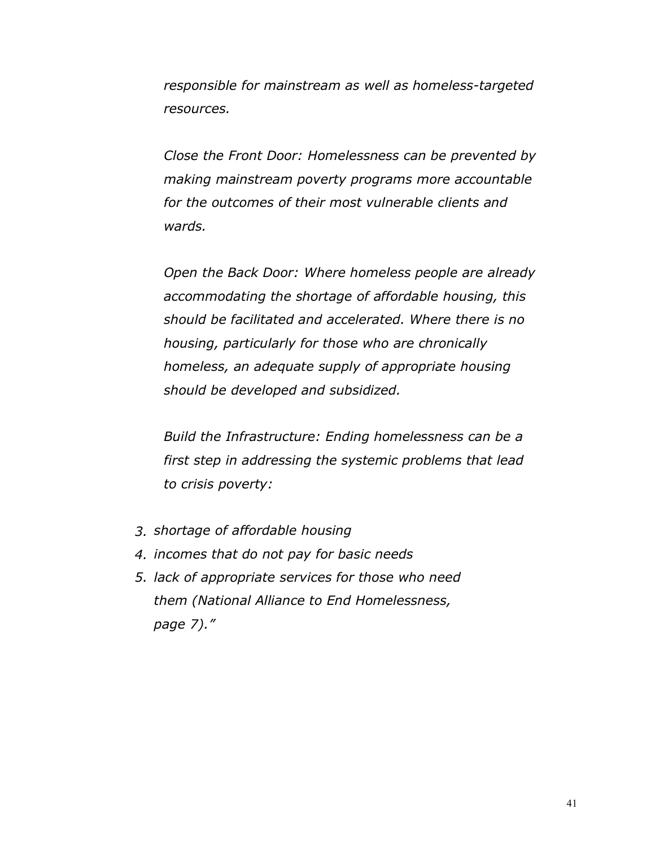*responsible for mainstream as well as homeless-targeted resources.*

*Close the Front Door: Homelessness can be prevented by making mainstream poverty programs more accountable for the outcomes of their most vulnerable clients and wards.*

*Open the Back Door: Where homeless people are already accommodating the shortage of affordable housing, this should be facilitated and accelerated. Where there is no housing, particularly for those who are chronically homeless, an adequate supply of appropriate housing should be developed and subsidized.*

*Build the Infrastructure: Ending homelessness can be a first step in addressing the systemic problems that lead to crisis poverty:*

- *3. shortage of affordable housing*
- *4. incomes that do not pay for basic needs*
- *5. lack of appropriate services for those who need them (National Alliance to End Homelessness, page 7)."*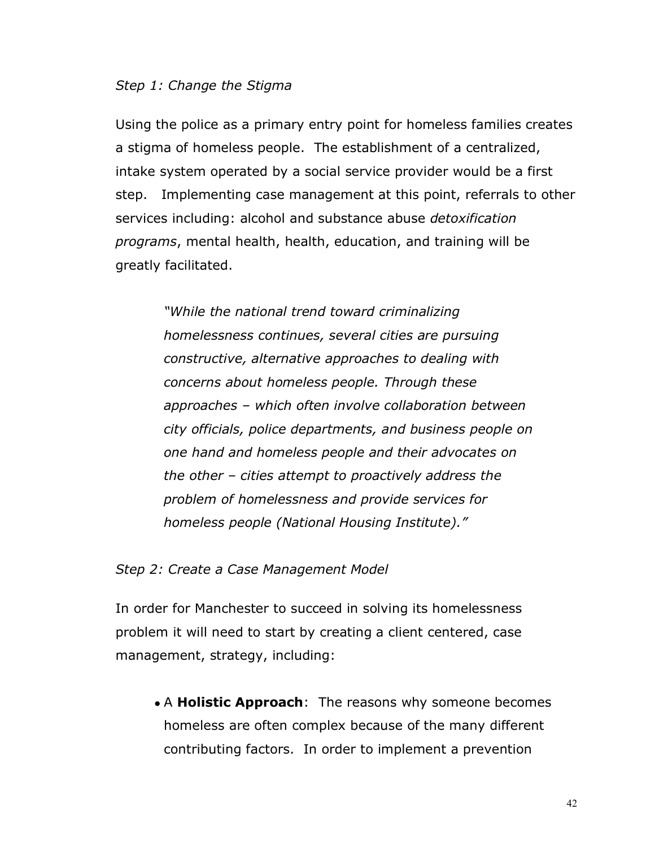#### *Step 1: Change the Stigma*

Using the police as a primary entry point for homeless families creates a stigma of homeless people. The establishment of a centralized, intake system operated by a social service provider would be a first step. Implementing case management at this point, referrals to other services including: alcohol and substance abuse *detoxification programs*, mental health, health, education, and training will be greatly facilitated.

> *"While the national trend toward criminalizing homelessness continues, several cities are pursuing constructive, alternative approaches to dealing with concerns about homeless people. Through these approaches – which often involve collaboration between city officials, police departments, and business people on one hand and homeless people and their advocates on the other – cities attempt to proactively address the problem of homelessness and provide services for homeless people (National Housing Institute)."*

*Step 2: Create a Case Management Model*

In order for Manchester to succeed in solving its homelessness problem it will need to start by creating a client centered, case management, strategy, including:

• A **Holistic Approach**: The reasons why someone becomes homeless are often complex because of the many different contributing factors. In order to implement a prevention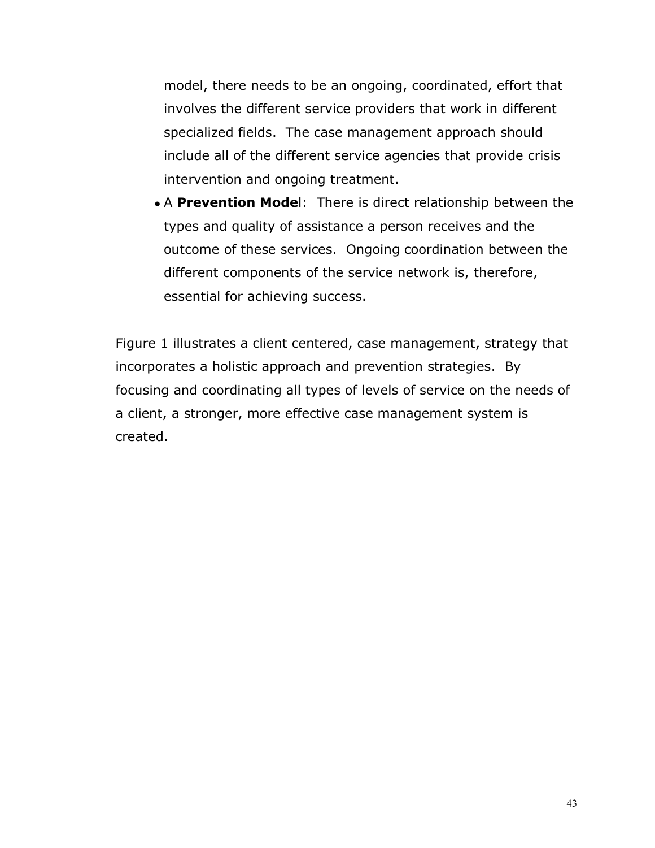model, there needs to be an ongoing, coordinated, effort that involves the different service providers that work in different specialized fields. The case management approach should include all of the different service agencies that provide crisis intervention and ongoing treatment.

• A **Prevention Mode**l: There is direct relationship between the types and quality of assistance a person receives and the outcome of these services. Ongoing coordination between the different components of the service network is, therefore, essential for achieving success.

Figure 1 illustrates a client centered, case management, strategy that incorporates a holistic approach and prevention strategies. By focusing and coordinating all types of levels of service on the needs of a client, a stronger, more effective case management system is created.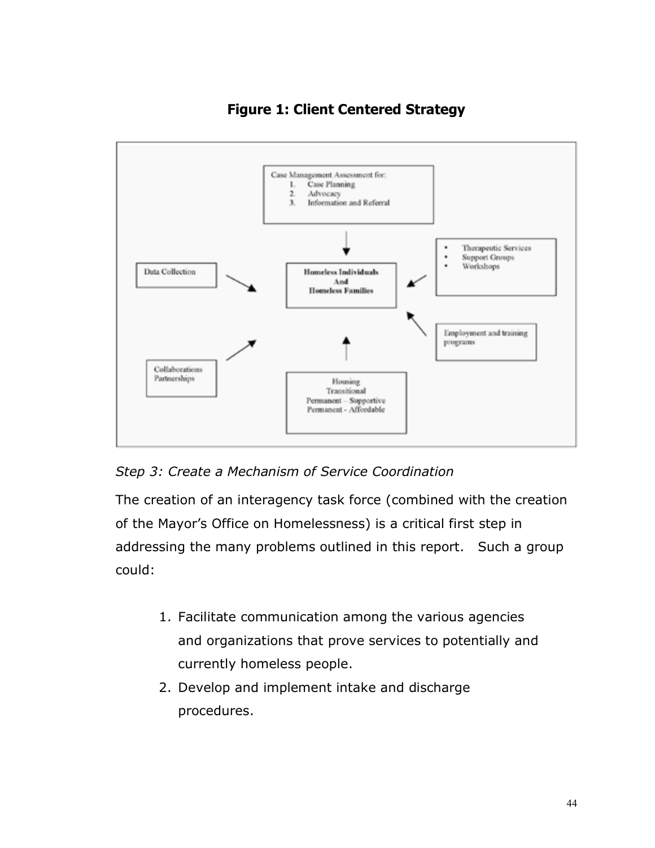



*Step 3: Create a Mechanism of Service Coordination*

The creation of an interagency task force (combined with the creation of the Mayor's Office on Homelessness) is a critical first step in addressing the many problems outlined in this report. Such a group could:

- 1. Facilitate communication among the various agencies and organizations that prove services to potentially and currently homeless people.
- 2. Develop and implement intake and discharge procedures.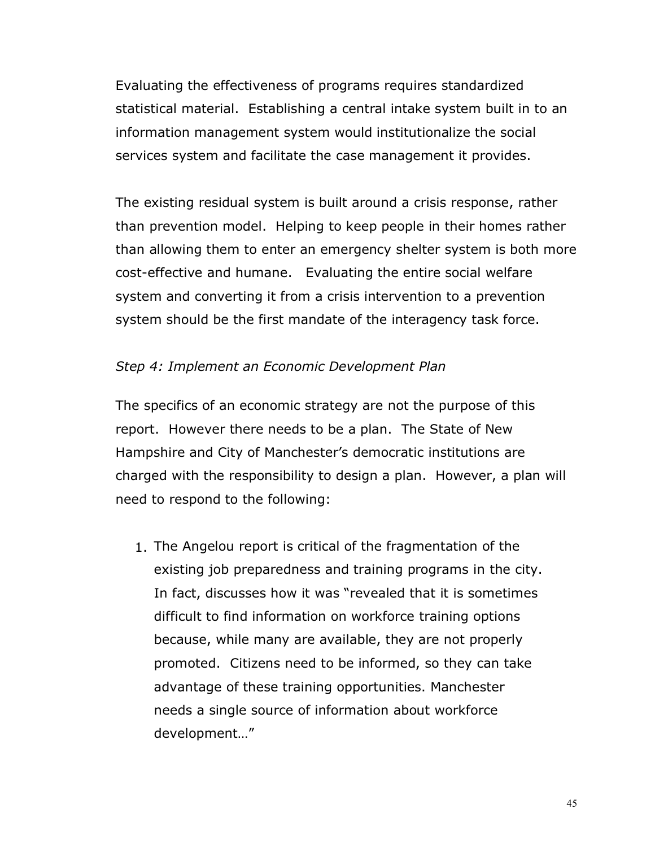Evaluating the effectiveness of programs requires standardized statistical material. Establishing a central intake system built in to an information management system would institutionalize the social services system and facilitate the case management it provides.

The existing residual system is built around a crisis response, rather than prevention model. Helping to keep people in their homes rather than allowing them to enter an emergency shelter system is both more cost-effective and humane. Evaluating the entire social welfare system and converting it from a crisis intervention to a prevention system should be the first mandate of the interagency task force.

#### *Step 4: Implement an Economic Development Plan*

The specifics of an economic strategy are not the purpose of this report. However there needs to be a plan. The State of New Hampshire and City of Manchester's democratic institutions are charged with the responsibility to design a plan. However, a plan will need to respond to the following:

1. The Angelou report is critical of the fragmentation of the existing job preparedness and training programs in the city. In fact, discusses how it was "revealed that it is sometimes difficult to find information on workforce training options because, while many are available, they are not properly promoted. Citizens need to be informed, so they can take advantage of these training opportunities. Manchester needs a single source of information about workforce development…"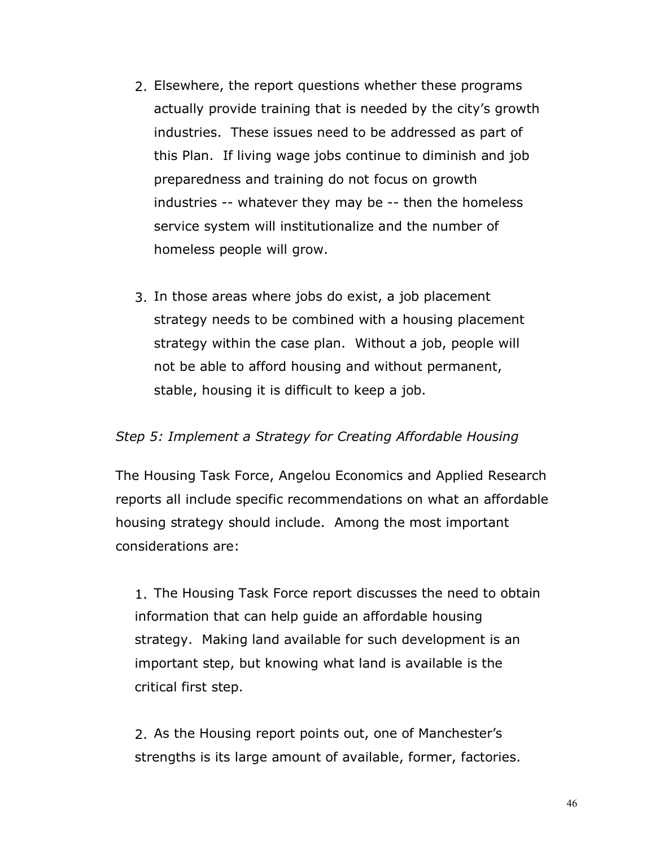- 2. Elsewhere, the report questions whether these programs actually provide training that is needed by the city's growth industries. These issues need to be addressed as part of this Plan. If living wage jobs continue to diminish and job preparedness and training do not focus on growth industries -- whatever they may be -- then the homeless service system will institutionalize and the number of homeless people will grow.
- 3. In those areas where jobs do exist, a job placement strategy needs to be combined with a housing placement strategy within the case plan. Without a job, people will not be able to afford housing and without permanent, stable, housing it is difficult to keep a job.

#### *Step 5: Implement a Strategy for Creating Affordable Housing*

The Housing Task Force, Angelou Economics and Applied Research reports all include specific recommendations on what an affordable housing strategy should include. Among the most important considerations are:

1. The Housing Task Force report discusses the need to obtain information that can help guide an affordable housing strategy. Making land available for such development is an important step, but knowing what land is available is the critical first step.

2. As the Housing report points out, one of Manchester's strengths is its large amount of available, former, factories.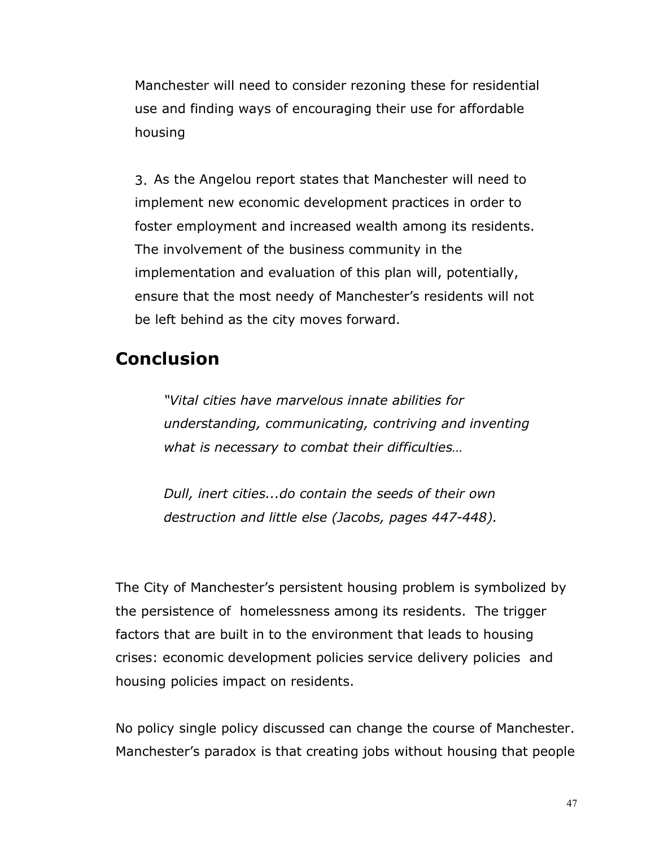Manchester will need to consider rezoning these for residential use and finding ways of encouraging their use for affordable housing

3. As the Angelou report states that Manchester will need to implement new economic development practices in order to foster employment and increased wealth among its residents. The involvement of the business community in the implementation and evaluation of this plan will, potentially, ensure that the most needy of Manchester's residents will not be left behind as the city moves forward.

## **Conclusion**

*"Vital cities have marvelous innate abilities for understanding, communicating, contriving and inventing what is necessary to combat their difficulties…*

*Dull, inert cities...do contain the seeds of their own destruction and little else (Jacobs, pages 447-448).*

The City of Manchester's persistent housing problem is symbolized by the persistence of homelessness among its residents. The trigger factors that are built in to the environment that leads to housing crises: economic development policies service delivery policies and housing policies impact on residents.

No policy single policy discussed can change the course of Manchester. Manchester's paradox is that creating jobs without housing that people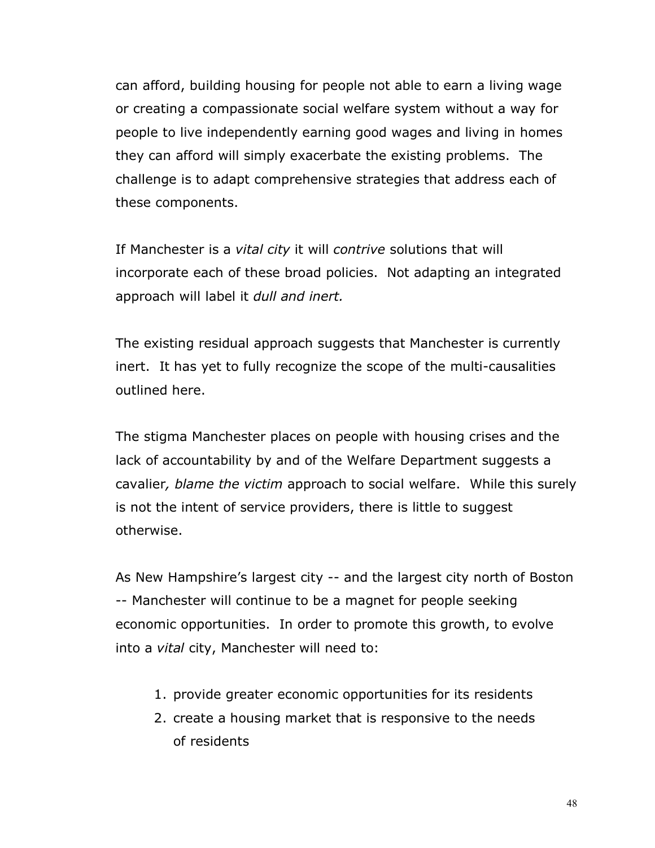can afford, building housing for people not able to earn a living wage or creating a compassionate social welfare system without a way for people to live independently earning good wages and living in homes they can afford will simply exacerbate the existing problems. The challenge is to adapt comprehensive strategies that address each of these components.

If Manchester is a *vital city* it will *contrive* solutions that will incorporate each of these broad policies. Not adapting an integrated approach will label it *dull and inert.*

The existing residual approach suggests that Manchester is currently inert. It has yet to fully recognize the scope of the multi-causalities outlined here.

The stigma Manchester places on people with housing crises and the lack of accountability by and of the Welfare Department suggests a cavalier*, blame the victim* approach to social welfare. While this surely is not the intent of service providers, there is little to suggest otherwise.

As New Hampshire's largest city -- and the largest city north of Boston -- Manchester will continue to be a magnet for people seeking economic opportunities. In order to promote this growth, to evolve into a *vital* city, Manchester will need to:

- 1. provide greater economic opportunities for its residents
- 2. create a housing market that is responsive to the needs of residents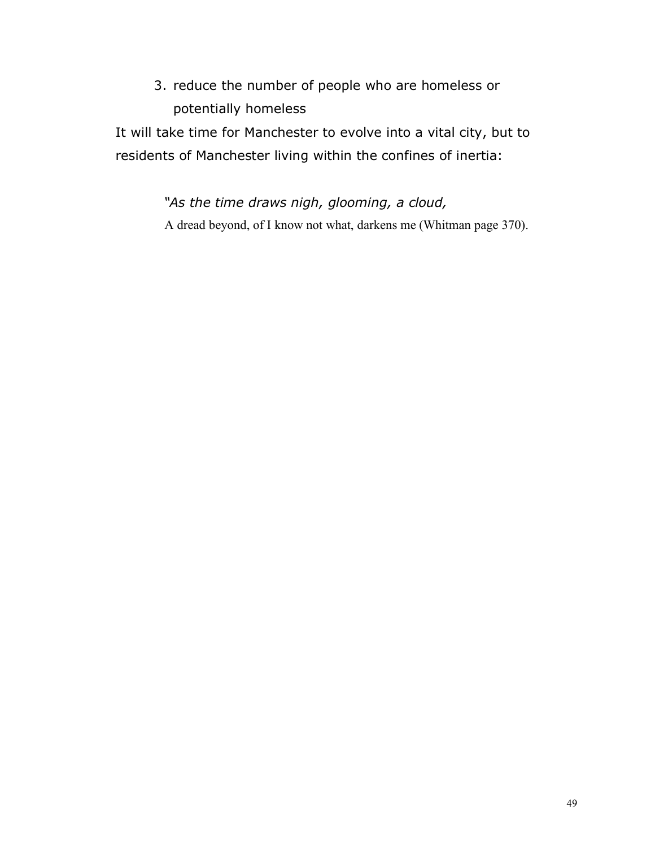3. reduce the number of people who are homeless or potentially homeless

It will take time for Manchester to evolve into a vital city, but to residents of Manchester living within the confines of inertia:

> *"As the time draws nigh, glooming, a cloud,* A dread beyond, of I know not what, darkens me (Whitman page 370).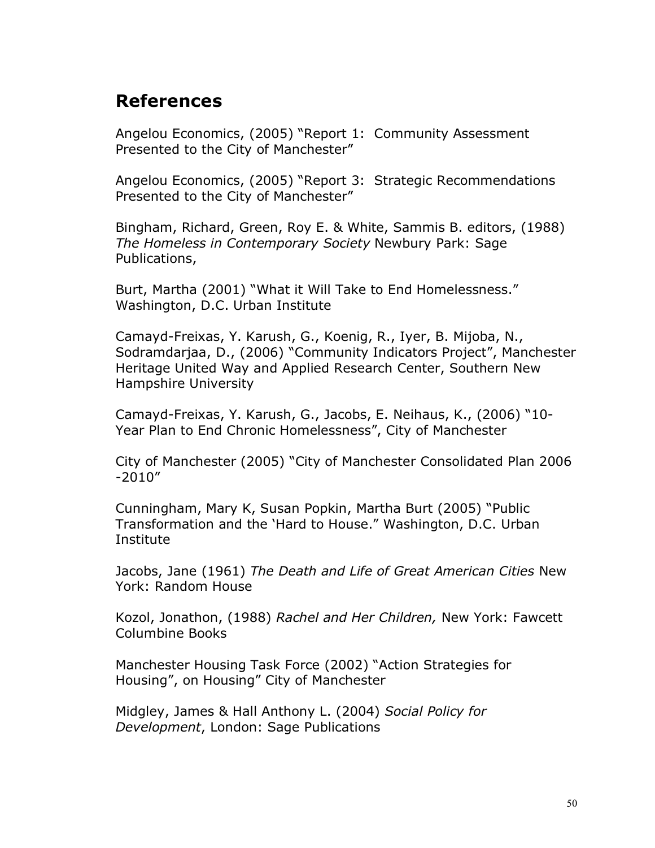## **References**

Angelou Economics, (2005) "Report 1: Community Assessment Presented to the City of Manchester"

Angelou Economics, (2005) "Report 3: Strategic Recommendations Presented to the City of Manchester"

Bingham, Richard, Green, Roy E. & White, Sammis B. editors, (1988) *The Homeless in Contemporary Society* Newbury Park: Sage Publications,

Burt, Martha (2001) "What it Will Take to End Homelessness." Washington, D.C. Urban Institute

Camayd-Freixas, Y. Karush, G., Koenig, R., Iyer, B. Mijoba, N., Sodramdarjaa, D., (2006) "Community Indicators Project", Manchester Heritage United Way and Applied Research Center, Southern New Hampshire University

Camayd-Freixas, Y. Karush, G., Jacobs, E. Neihaus, K., (2006) "10- Year Plan to End Chronic Homelessness", City of Manchester

City of Manchester (2005) "City of Manchester Consolidated Plan 2006 -2010"

Cunningham, Mary K, Susan Popkin, Martha Burt (2005) "Public Transformation and the 'Hard to House." Washington, D.C. Urban Institute

Jacobs, Jane (1961) *The Death and Life of Great American Cities* New York: Random House

Kozol, Jonathon, (1988) *Rachel and Her Children,* New York: Fawcett Columbine Books

Manchester Housing Task Force (2002) "Action Strategies for Housing", on Housing" City of Manchester

Midgley, James & Hall Anthony L. (2004) *Social Policy for Development*, London: Sage Publications